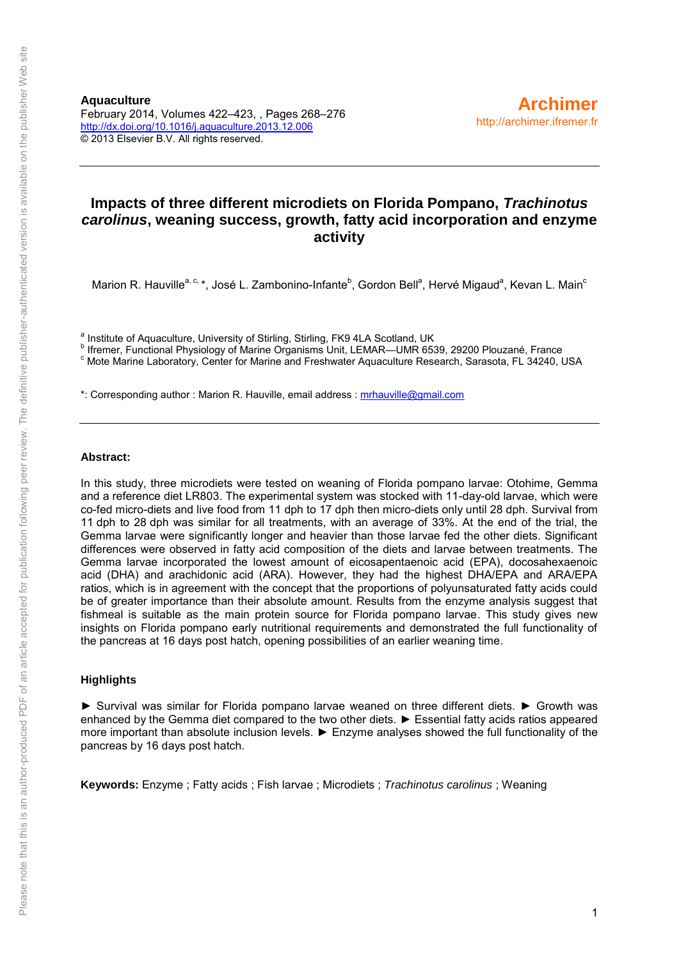#### **Impacts of three different microdiets on Florida Pompano,** *Trachinotus carolinus***, weaning success, growth, fatty acid incorporation and enzyme activity**

Marion R. Hauville<sup>a, c,</sup> \*, José L. Zambonino-Infante<sup>b</sup>, Gordon Bell<sup>a</sup>, Hervé Migaud<sup>a</sup>, Kevan L. Main<sup>c</sup>

<sup>a</sup> Institute of Aquaculture, University of Stirling, Stirling, FK9 4LA Scotland, UK

b Ifremer, Functional Physiology of Marine Organisms Unit, LEMAR—UMR 6539, 29200 Plouzané, France

<sup>c</sup> Mote Marine Laboratory, Center for Marine and Freshwater Aquaculture Research, Sarasota, FL 34240, USA

\*: Corresponding author : Marion R. Hauville, email address : [mrhauville@gmail.com](mailto:mrhauville@gmail.com)

#### **Abstract:**

In this study, three microdiets were tested on weaning of Florida pompano larvae: Otohime, Gemma and a reference diet LR803. The experimental system was stocked with 11-day-old larvae, which were co-fed micro-diets and live food from 11 dph to 17 dph then micro-diets only until 28 dph. Survival from 11 dph to 28 dph was similar for all treatments, with an average of 33%. At the end of the trial, the Gemma larvae were significantly longer and heavier than those larvae fed the other diets. Significant differences were observed in fatty acid composition of the diets and larvae between treatments. The Gemma larvae incorporated the lowest amount of eicosapentaenoic acid (EPA), docosahexaenoic acid (DHA) and arachidonic acid (ARA). However, they had the highest DHA/EPA and ARA/EPA ratios, which is in agreement with the concept that the proportions of polyunsaturated fatty acids could be of greater importance than their absolute amount. Results from the enzyme analysis suggest that fishmeal is suitable as the main protein source for Florida pompano larvae. This study gives new insights on Florida pompano early nutritional requirements and demonstrated the full functionality of the pancreas at 16 days post hatch, opening possibilities of an earlier weaning time.

#### **Highlights**

► Survival was similar for Florida pompano larvae weaned on three different diets. ► Growth was enhanced by the Gemma diet compared to the two other diets. ► Essential fatty acids ratios appeared more important than absolute inclusion levels. ► Enzyme analyses showed the full functionality of the pancreas by 16 days post hatch.

**Keywords:** Enzyme ; Fatty acids ; Fish larvae ; Microdiets ; *Trachinotus carolinus* ; Weaning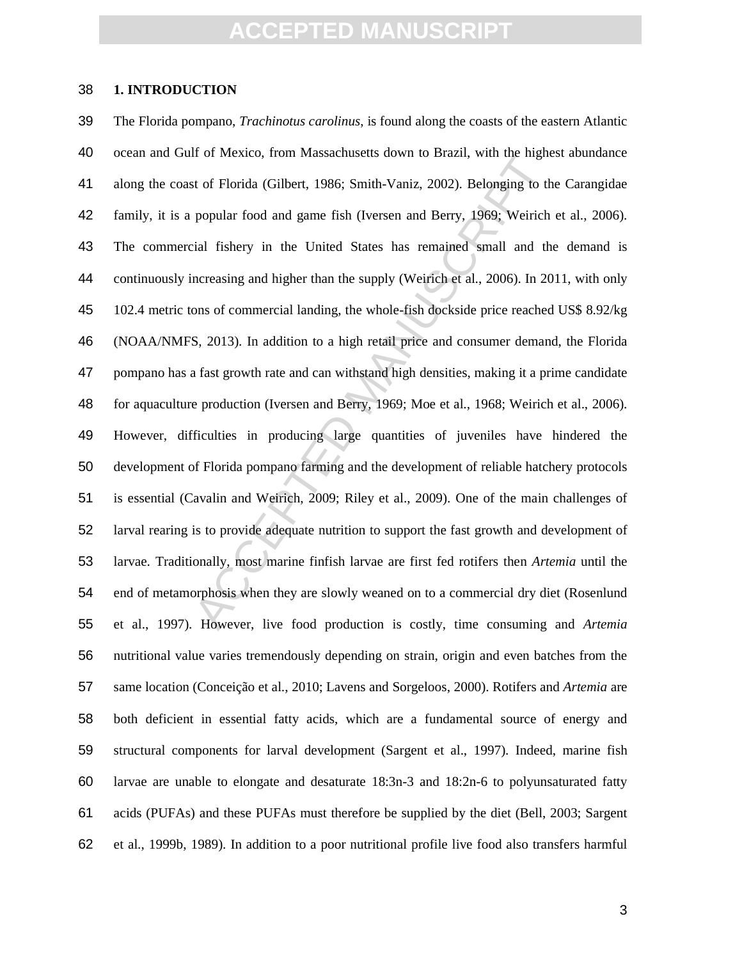#### **1. INTRODUCTION**

at of Florida (Gilbert, 1986; Smith-Vaniz, 2002). Belonging to the popular food and game fish (Iversen and Berry, 1969; Weirich ial fishery in the United States has remained small and the necessing and higher than the supp The Florida pompano, *Trachinotus carolinus*, is found along the coasts of the eastern Atlantic ocean and Gulf of Mexico, from Massachusetts down to Brazil, with the highest abundance along the coast of Florida (Gilbert, 1986; Smith-Vaniz, 2002). Belonging to the Carangidae family, it is a popular food and game fish (Iversen and Berry, 1969; Weirich et al., 2006). The commercial fishery in the United States has remained small and the demand is continuously increasing and higher than the supply (Weirich et al., 2006). In 2011, with only 102.4 metric tons of commercial landing, the whole-fish dockside price reached US\$ 8.92/kg (NOAA/NMFS, 2013). In addition to a high retail price and consumer demand, the Florida pompano has a fast growth rate and can withstand high densities, making it a prime candidate for aquaculture production (Iversen and Berry, 1969; Moe et al., 1968; Weirich et al., 2006). However, difficulties in producing large quantities of juveniles have hindered the development of Florida pompano farming and the development of reliable hatchery protocols is essential (Cavalin and Weirich, 2009; Riley et al., 2009). One of the main challenges of larval rearing is to provide adequate nutrition to support the fast growth and development of larvae. Traditionally, most marine finfish larvae are first fed rotifers then *Artemia* until the end of metamorphosis when they are slowly weaned on to a commercial dry diet (Rosenlund et al., 1997). However, live food production is costly, time consuming and *Artemia* nutritional value varies tremendously depending on strain, origin and even batches from the same location (Conceição et al., 2010; Lavens and Sorgeloos, 2000). Rotifers and *Artemia* are both deficient in essential fatty acids, which are a fundamental source of energy and structural components for larval development (Sargent et al., 1997). Indeed, marine fish larvae are unable to elongate and desaturate 18:3n-3 and 18:2n-6 to polyunsaturated fatty acids (PUFAs) and these PUFAs must therefore be supplied by the diet (Bell, 2003; Sargent et al., 1999b, 1989). In addition to a poor nutritional profile live food also transfers harmful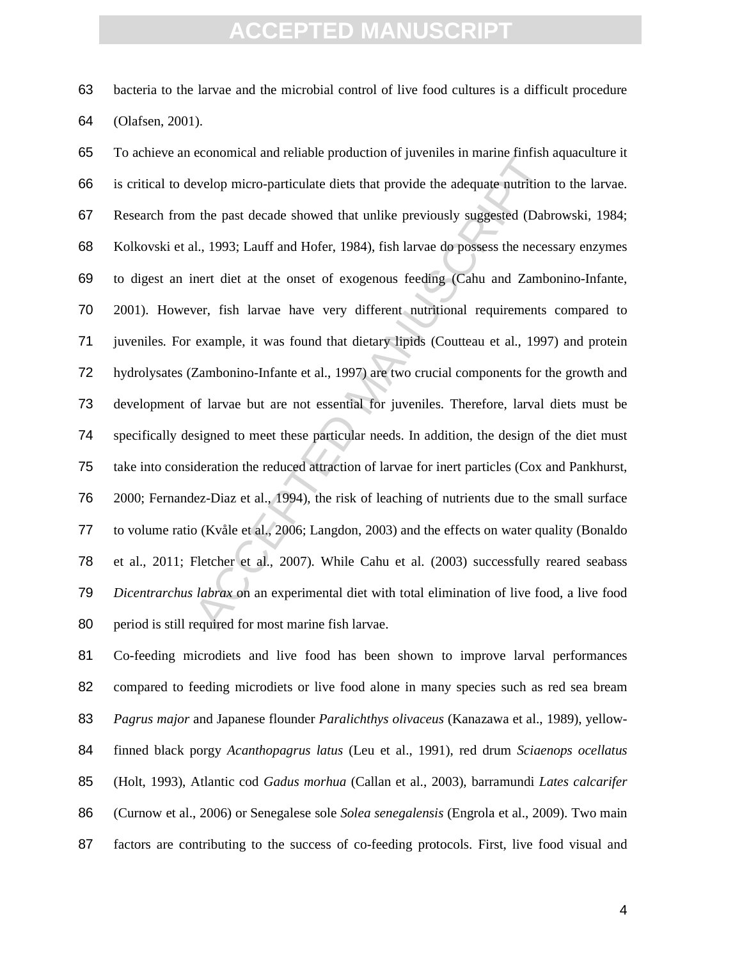bacteria to the larvae and the microbial control of live food cultures is a difficult procedure (Olafsen, 2001).

economical and renaote production of juvenies in maine ministrated evelop micro-particulate diets that provide the adequate nutrition the past decade showed that unlike previously suggested (Dabr<br>l., 1993; Lauff and Hofer, To achieve an economical and reliable production of juveniles in marine finfish aquaculture it is critical to develop micro-particulate diets that provide the adequate nutrition to the larvae. Research from the past decade showed that unlike previously suggested (Dabrowski, 1984; Kolkovski et al., 1993; Lauff and Hofer, 1984), fish larvae do possess the necessary enzymes to digest an inert diet at the onset of exogenous feeding (Cahu and Zambonino-Infante, 2001). However, fish larvae have very different nutritional requirements compared to juveniles. For example, it was found that dietary lipids (Coutteau et al., 1997) and protein hydrolysates (Zambonino-Infante et al., 1997) are two crucial components for the growth and development of larvae but are not essential for juveniles. Therefore, larval diets must be specifically designed to meet these particular needs. In addition, the design of the diet must take into consideration the reduced attraction of larvae for inert particles (Cox and Pankhurst, 2000; Fernandez-Diaz et al., 1994), the risk of leaching of nutrients due to the small surface to volume ratio (Kvåle et al., 2006; Langdon, 2003) and the effects on water quality (Bonaldo et al., 2011; Fletcher et al., 2007). While Cahu et al. (2003) successfully reared seabass *Dicentrarchus labrax* on an experimental diet with total elimination of live food, a live food period is still required for most marine fish larvae.

Co-feeding microdiets and live food has been shown to improve larval performances compared to feeding microdiets or live food alone in many species such as red sea bream *Pagrus major* and Japanese flounder *Paralichthys olivaceus* (Kanazawa et al., 1989), yellow-finned black porgy *Acanthopagrus latus* (Leu et al., 1991), red drum *Sciaenops ocellatus* (Holt, 1993), Atlantic cod *Gadus morhua* (Callan et al., 2003), barramundi *Lates calcarifer* (Curnow et al., 2006) or Senegalese sole *Solea senegalensis* (Engrola et al., 2009). Two main 87 factors are contributing to the success of co-feeding protocols. First, live food visual and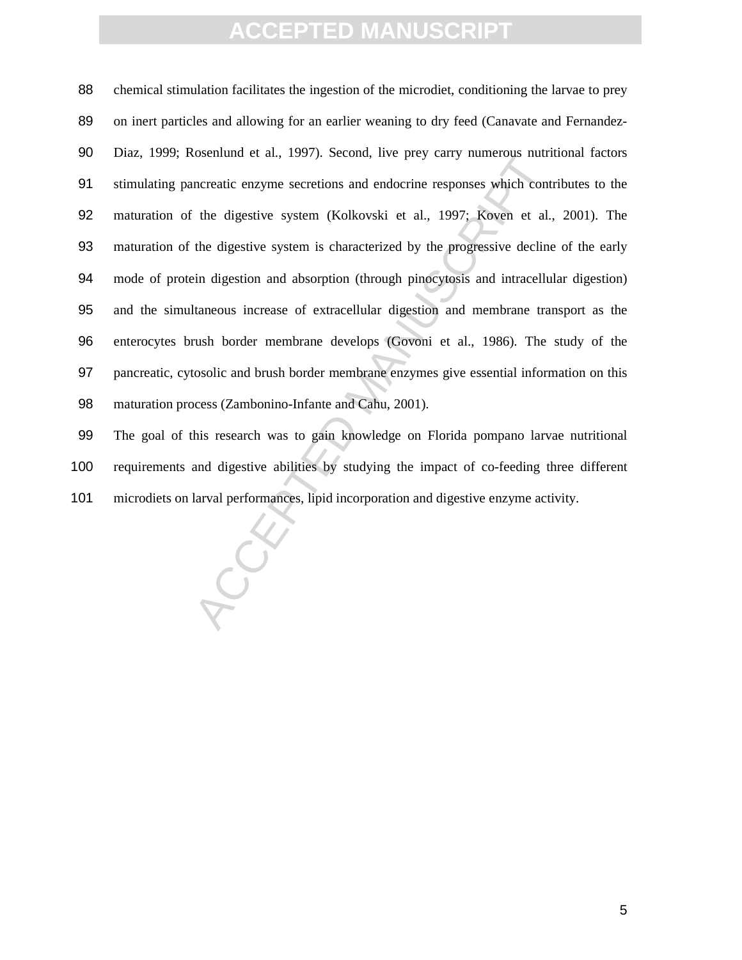osentuno et al., 1997). Second, tive prey carry numerous nuri<br>nereatic enzyme secretions and endocrine responses which contra<br>the digestive system (Kolkovski et al., 1997; Koven et al.,<br>the digestive system is characterize chemical stimulation facilitates the ingestion of the microdiet, conditioning the larvae to prey 89 on inert particles and allowing for an earlier weaning to dry feed (Canavate and Fernandez-Diaz, 1999; Rosenlund et al., 1997). Second, live prey carry numerous nutritional factors stimulating pancreatic enzyme secretions and endocrine responses which contributes to the maturation of the digestive system (Kolkovski et al., 1997; Koven et al., 2001). The maturation of the digestive system is characterized by the progressive decline of the early mode of protein digestion and absorption (through pinocytosis and intracellular digestion) and the simultaneous increase of extracellular digestion and membrane transport as the enterocytes brush border membrane develops (Govoni et al., 1986). The study of the pancreatic, cytosolic and brush border membrane enzymes give essential information on this maturation process (Zambonino-Infante and Cahu, 2001).

The goal of this research was to gain knowledge on Florida pompano larvae nutritional requirements and digestive abilities by studying the impact of co-feeding three different microdiets on larval performances, lipid incorporation and digestive enzyme activity.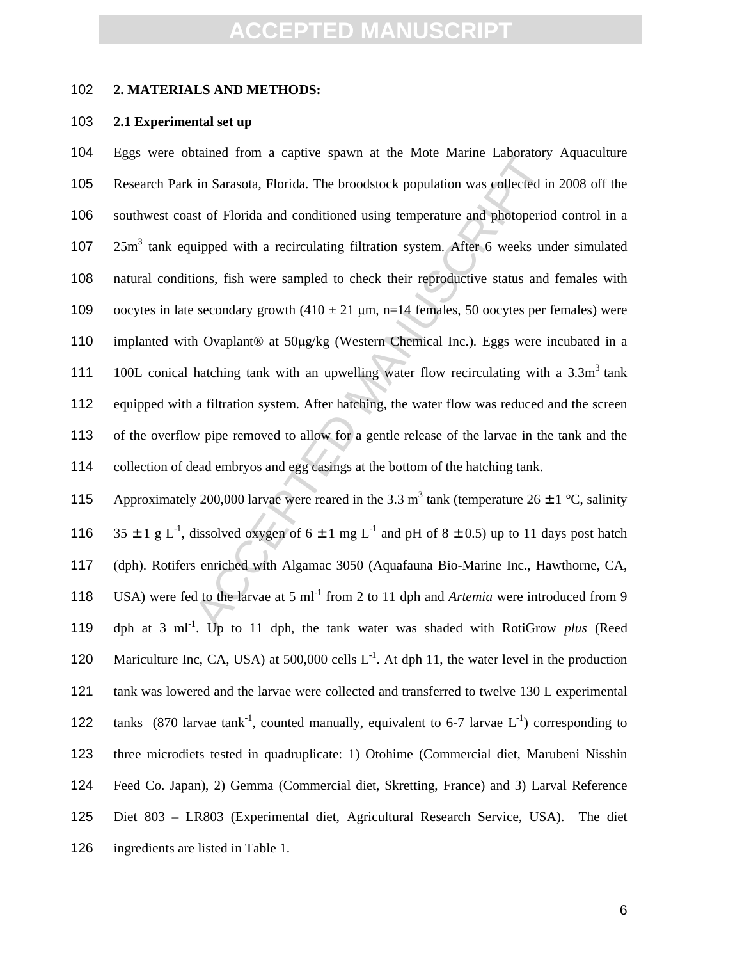#### 102 **2. MATERIALS AND METHODS:**

#### 103 **2.1 Experimental set up**

banned noin a captive spawn at the isote manne Laobiaoty<br>in Sarasota, Florida. The broodstock population was collected in<br>st of Florida and conditioned using temperature and photoperioc<br>uipped with a recirculating filtrat Eggs were obtained from a captive spawn at the Mote Marine Laboratory Aquaculture Research Park in Sarasota, Florida. The broodstock population was collected in 2008 off the southwest coast of Florida and conditioned using temperature and photoperiod control in a  $25m<sup>3</sup>$  tank equipped with a recirculating filtration system. After 6 weeks under simulated natural conditions, fish were sampled to check their reproductive status and females with 109 oocytes in late secondary growth  $(410 \pm 21 \text{ µm}, \text{n=14 females}, 50 \text{ oocytes per females})$  were implanted with Ovaplant® at 50µg/kg (Western Chemical Inc.). Eggs were incubated in a 111 100L conical hatching tank with an upwelling water flow recirculating with a  $3.3m<sup>3</sup>$  tank 112 equipped with a filtration system. After hatching, the water flow was reduced and the screen of the overflow pipe removed to allow for a gentle release of the larvae in the tank and the collection of dead embryos and egg casings at the bottom of the hatching tank.

115 Approximately 200,000 larvae were reared in the 3.3 m<sup>3</sup> tank (temperature 26  $\pm$  1 °C, salinity 116  $35 \pm 1$  g L<sup>-1</sup>, dissolved oxygen of  $6 \pm 1$  mg L<sup>-1</sup> and pH of  $8 \pm 0.5$ ) up to 11 days post hatch 117 (dph). Rotifers enriched with Algamac 3050 (Aquafauna Bio-Marine Inc., Hawthorne, CA, 118 USA) were fed to the larvae at 5 ml<sup>-1</sup> from 2 to 11 dph and *Artemia* were introduced from 9 119 dph at 3 ml<sup>-1</sup>. Up to 11 dph, the tank water was shaded with RotiGrow *plus* (Reed 120 Mariculture Inc, CA, USA) at 500,000 cells  $L^{-1}$ . At dph 11, the water level in the production 121 tank was lowered and the larvae were collected and transferred to twelve 130 L experimental 122 tanks (870 larvae tank<sup>-1</sup>, counted manually, equivalent to 6-7 larvae  $L^{-1}$ ) corresponding to 123 three microdiets tested in quadruplicate: 1) Otohime (Commercial diet, Marubeni Nisshin 124 Feed Co. Japan), 2) Gemma (Commercial diet, Skretting, France) and 3) Larval Reference 125 Diet 803 – LR803 (Experimental diet, Agricultural Research Service, USA). The diet 126 ingredients are listed in Table 1.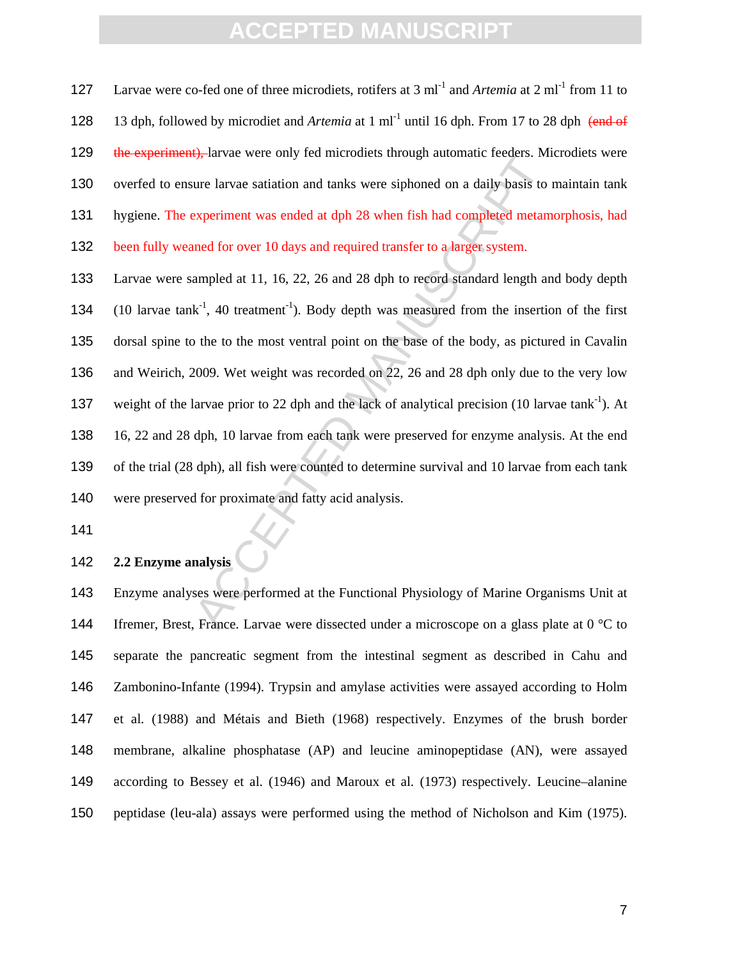127 Larvae were co-fed one of three microdiets, rotifers at 3 ml<sup>-1</sup> and *Artemia* at 2 ml<sup>-1</sup> from 11 to 128 13 dph, followed by microdiet and *Artemia* at 1 ml<sup>-1</sup> until 16 dph. From 17 to 28 dph (end of 129 the experiment), larvae were only fed microdiets through automatic feeders. Microdiets were overfed to ensure larvae satiation and tanks were siphoned on a daily basis to maintain tank hygiene. The experiment was ended at dph 28 when fish had completed metamorphosis, had 132 been fully weaned for over 10 days and required transfer to a larger system.

**Example 1** and tanks were siphoned on a daily basis to revertiment was ended at dph 28 when fish had completed metam<br>med for over 10 days and required transfer to a larger system.<br>ampled at 11, 16, 22, 26 and 28 dph to r Larvae were sampled at 11, 16, 22, 26 and 28 dph to record standard length and body depth 134 (10 larvae tank<sup>-1</sup>, 40 treatment<sup>-1</sup>). Body depth was measured from the insertion of the first dorsal spine to the to the most ventral point on the base of the body, as pictured in Cavalin and Weirich, 2009. Wet weight was recorded on 22, 26 and 28 dph only due to the very low 137 weight of the larvae prior to 22 dph and the lack of analytical precision (10 larvae tank<sup>-1</sup>). At 16, 22 and 28 dph, 10 larvae from each tank were preserved for enzyme analysis. At the end of the trial (28 dph), all fish were counted to determine survival and 10 larvae from each tank were preserved for proximate and fatty acid analysis.

#### **2.2 Enzyme analysis**

Enzyme analyses were performed at the Functional Physiology of Marine Organisms Unit at 144 Ifremer, Brest, France. Larvae were dissected under a microscope on a glass plate at 0 °C to separate the pancreatic segment from the intestinal segment as described in Cahu and Zambonino-Infante (1994). Trypsin and amylase activities were assayed according to Holm et al. (1988) and Métais and Bieth (1968) respectively. Enzymes of the brush border membrane, alkaline phosphatase (AP) and leucine aminopeptidase (AN), were assayed according to Bessey et al. (1946) and Maroux et al. (1973) respectively. Leucine–alanine peptidase (leu-ala) assays were performed using the method of Nicholson and Kim (1975).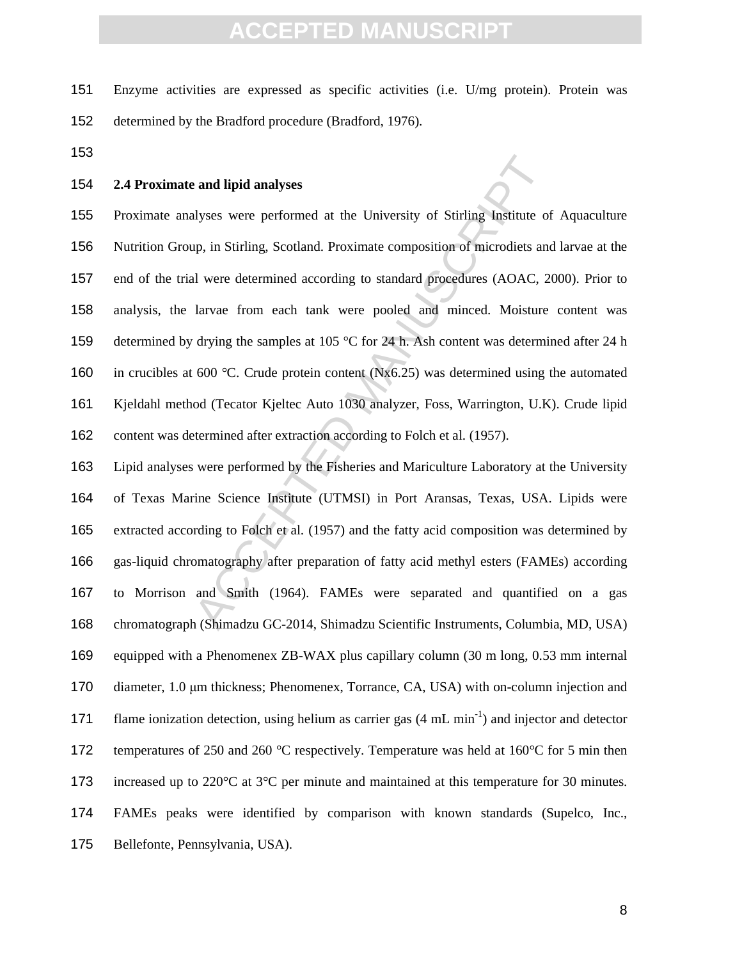Enzyme activities are expressed as specific activities (i.e. U/mg protein). Protein was determined by the Bradford procedure (Bradford, 1976).

#### **2.4 Proximate and lipid analyses**

and lipid analyses<br>ulyses were performed at the University of Stirling Institute of<br>p, in Stirling, Scotland. Proximate composition of microdiets and<br>ul were determined according to standard procedures (AOAC, 20<br>larvae fro Proximate analyses were performed at the University of Stirling Institute of Aquaculture Nutrition Group, in Stirling, Scotland. Proximate composition of microdiets and larvae at the end of the trial were determined according to standard procedures (AOAC, 2000). Prior to analysis, the larvae from each tank were pooled and minced. Moisture content was 159 determined by drying the samples at 105 °C for 24 h. Ash content was determined after 24 h 160 in crucibles at 600 °C. Crude protein content (Nx6.25) was determined using the automated Kjeldahl method (Tecator Kjeltec Auto 1030 analyzer, Foss, Warrington, U.K). Crude lipid content was determined after extraction according to Folch et al. (1957).

Lipid analyses were performed by the Fisheries and Mariculture Laboratory at the University of Texas Marine Science Institute (UTMSI) in Port Aransas, Texas, USA. Lipids were extracted according to Folch et al. (1957) and the fatty acid composition was determined by gas-liquid chromatography after preparation of fatty acid methyl esters (FAMEs) according to Morrison and Smith (1964). FAMEs were separated and quantified on a gas chromatograph (Shimadzu GC-2014, Shimadzu Scientific Instruments, Columbia, MD, USA) equipped with a Phenomenex ZB-WAX plus capillary column (30 m long, 0.53 mm internal 170 diameter, 1.0 µm thickness; Phenomenex, Torrance, CA, USA) with on-column injection and flame ionization detection, using helium as carrier gas  $(4 \text{ mL min}^{-1})$  and injector and detector 172 temperatures of 250 and 260 °C respectively. Temperature was held at 160 °C for 5 min then 173 increased up to 220 °C at 3 °C per minute and maintained at this temperature for 30 minutes. FAMEs peaks were identified by comparison with known standards (Supelco, Inc., Bellefonte, Pennsylvania, USA).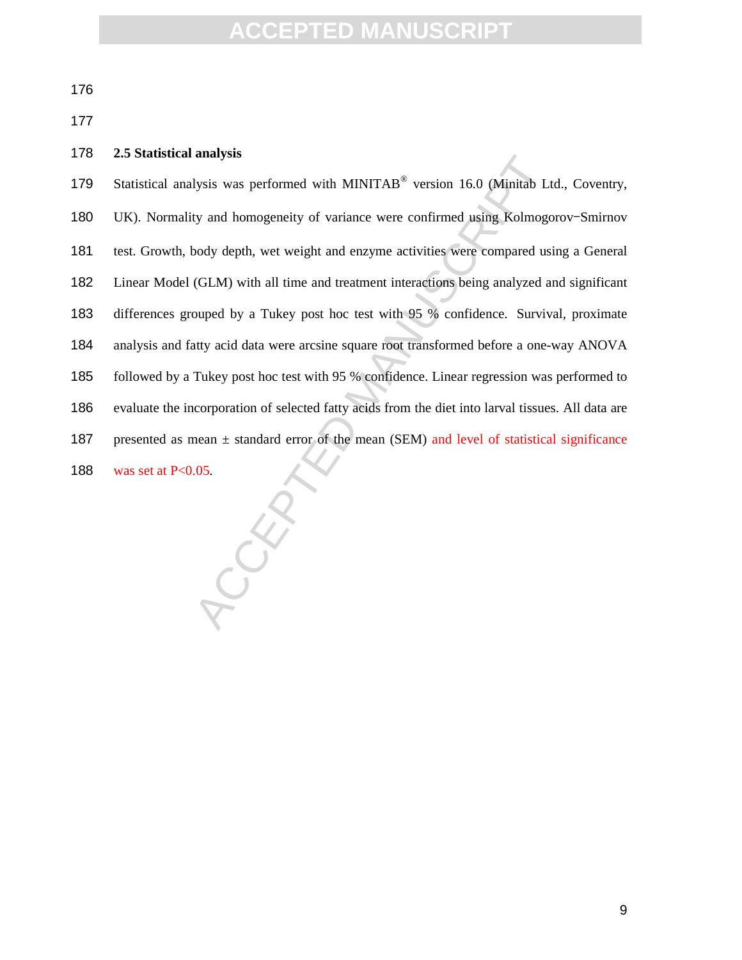#### **2.5 Statistical analysis**

analysis<br>Ultrastic surface with MINITAB® version 16.0 (Minitab Lt<br>ty and homogeneity of variance were confirmed using Kolmogo<br>body depth, wet weight and enzyme activities were compared usi<br>(GLM) with all time and treatmen 179 Statistical analysis was performed with MINITAB<sup>®</sup> version 16.0 (Minitab Ltd., Coventry, UK). Normality and homogeneity of variance were confirmed using Kolmogorov–Smirnov test. Growth, body depth, wet weight and enzyme activities were compared using a General Linear Model (GLM) with all time and treatment interactions being analyzed and significant differences grouped by a Tukey post hoc test with 95 % confidence. Survival, proximate analysis and fatty acid data were arcsine square root transformed before a one-way ANOVA followed by a Tukey post hoc test with 95 % confidence. Linear regression was performed to evaluate the incorporation of selected fatty acids from the diet into larval tissues. All data are 187 presented as mean  $\pm$  standard error of the mean (SEM) and level of statistical significance 188 was set at  $P < 0.05$ .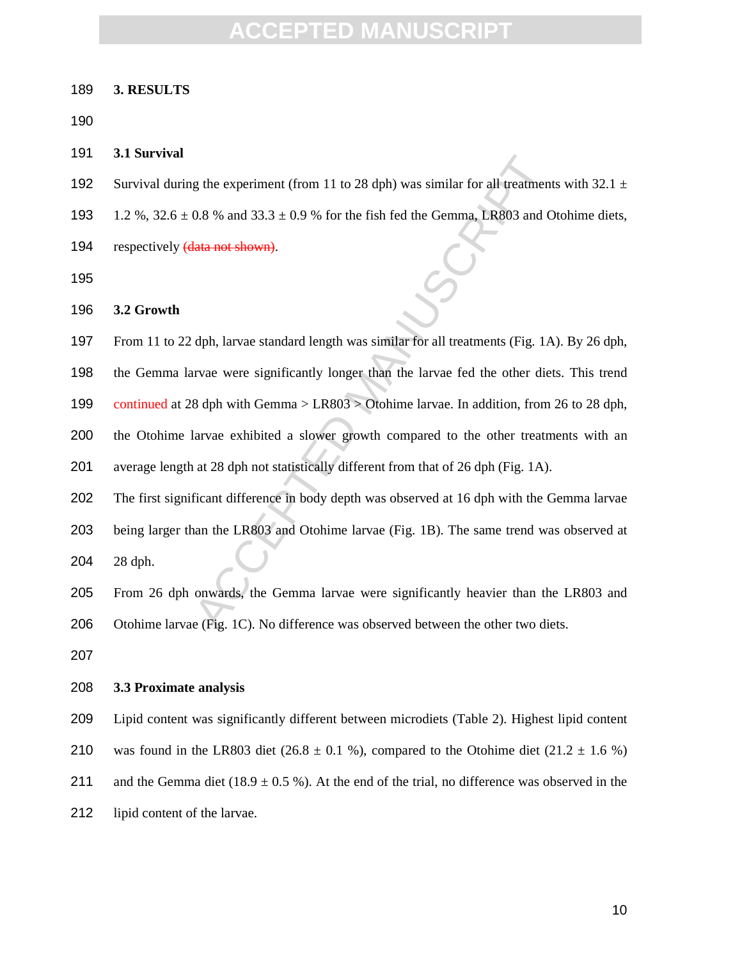#### **3. RESULTS**

**3.1 Survival** 

- 192 Survival during the experiment (from 11 to 28 dph) was similar for all treatments with 32.1  $\pm$
- 193 1.2 %,  $32.6 \pm 0.8$  % and  $33.3 \pm 0.9$  % for the fish fed the Gemma, LR803 and Otohime diets,
- 194 respectively (data not shown).

**3.2 Growth** 

From 11 to 22 dph, larvae standard length was similar for all treatments (Fig. 1A). By 26 dph,

the Gemma larvae were significantly longer than the larvae fed the other diets. This trend

continued at 28 dph with Gemma > LR803 > Otohime larvae. In addition, from 26 to 28 dph,

the Otohime larvae exhibited a slower growth compared to the other treatments with an

- average length at 28 dph not statistically different from that of 26 dph (Fig. 1A).
- The first significant difference in body depth was observed at 16 dph with the Gemma larvae
- g the experiment (from 11 to 28 dph) was similar for all treatment<br>
0.8 % and 33.3 ± 0.9 % for the fish fed the Gemma, LR803 and C<br>
lata not shown).<br>
<br>
dph, larvae standard length was similar for all treatments (Fig. 1A<br> being larger than the LR803 and Otohime larvae (Fig. 1B). The same trend was observed at 28 dph.

From 26 dph onwards, the Gemma larvae were significantly heavier than the LR803 and Otohime larvae (Fig. 1C). No difference was observed between the other two diets.

#### **3.3 Proximate analysis**

Lipid content was significantly different between microdiets (Table 2). Highest lipid content

- 210 was found in the LR803 diet  $(26.8 \pm 0.1 \%)$ , compared to the Otohime diet  $(21.2 \pm 1.6 \%)$
- 211 and the Gemma diet (18.9  $\pm$  0.5 %). At the end of the trial, no difference was observed in the
- lipid content of the larvae.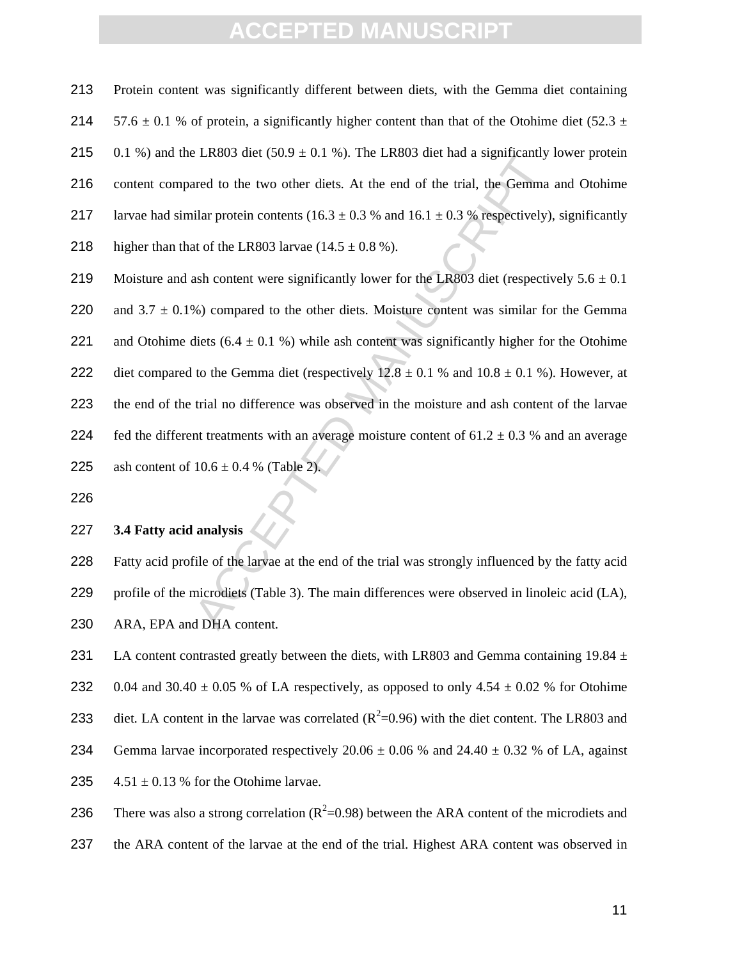213 Protein content was significantly different between diets, with the Gemma diet containing

EXENSION THE LEASES that a significantly<br>and to the two other diets. At the end of the trial, the Gemma<br>illar protein contents (16.3 ± 0.3 % and 16.1 ± 0.3 % respectively),<br>at of the LR803 larvae (14.5 ± 0.8 %).<br>ash conte 214 57.6  $\pm$  0.1 % of protein, a significantly higher content than that of the Otohime diet (52.3  $\pm$ 215 0.1 %) and the LR803 diet (50.9  $\pm$  0.1 %). The LR803 diet had a significantly lower protein 216 content compared to the two other diets. At the end of the trial, the Gemma and Otohime 217 larvae had similar protein contents (16.3  $\pm$  0.3 % and 16.1  $\pm$  0.3 % respectively), significantly 218 higher than that of the LR803 larvae  $(14.5 \pm 0.8 \%)$ . 219 Moisture and ash content were significantly lower for the LR803 diet (respectively  $5.6 \pm 0.1$ ) 220 and  $3.7 \pm 0.1\%$ ) compared to the other diets. Moisture content was similar for the Gemma 221 and Otohime diets  $(6.4 \pm 0.1 \%)$  while ash content was significantly higher for the Otohime

- 222 diet compared to the Gemma diet (respectively  $12.8 \pm 0.1$  % and  $10.8 \pm 0.1$  %). However, at 223 the end of the trial no difference was observed in the moisture and ash content of the larvae 224 fed the different treatments with an average moisture content of  $61.2 \pm 0.3$  % and an average 225 ash content of  $10.6 \pm 0.4$  % (Table 2).
- 226

#### 227 **3.4 Fatty acid analysis**

228 Fatty acid profile of the larvae at the end of the trial was strongly influenced by the fatty acid 229 profile of the microdiets (Table 3). The main differences were observed in linoleic acid (LA), 230 ARA, EPA and DHA content.

231 LA content contrasted greatly between the diets, with LR803 and Gemma containing 19.84  $\pm$ 

- 232 0.04 and 30.40  $\pm$  0.05 % of LA respectively, as opposed to only 4.54  $\pm$  0.02 % for Otohime
- 233 diet. LA content in the larvae was correlated  $(R^2=0.96)$  with the diet content. The LR803 and
- 234 Gemma larvae incorporated respectively  $20.06 \pm 0.06$  % and  $24.40 \pm 0.32$  % of LA, against
- 235  $4.51 \pm 0.13$  % for the Otohime larvae.
- 236 There was also a strong correlation ( $R^2$ =0.98) between the ARA content of the microdiets and
- 237 the ARA content of the larvae at the end of the trial. Highest ARA content was observed in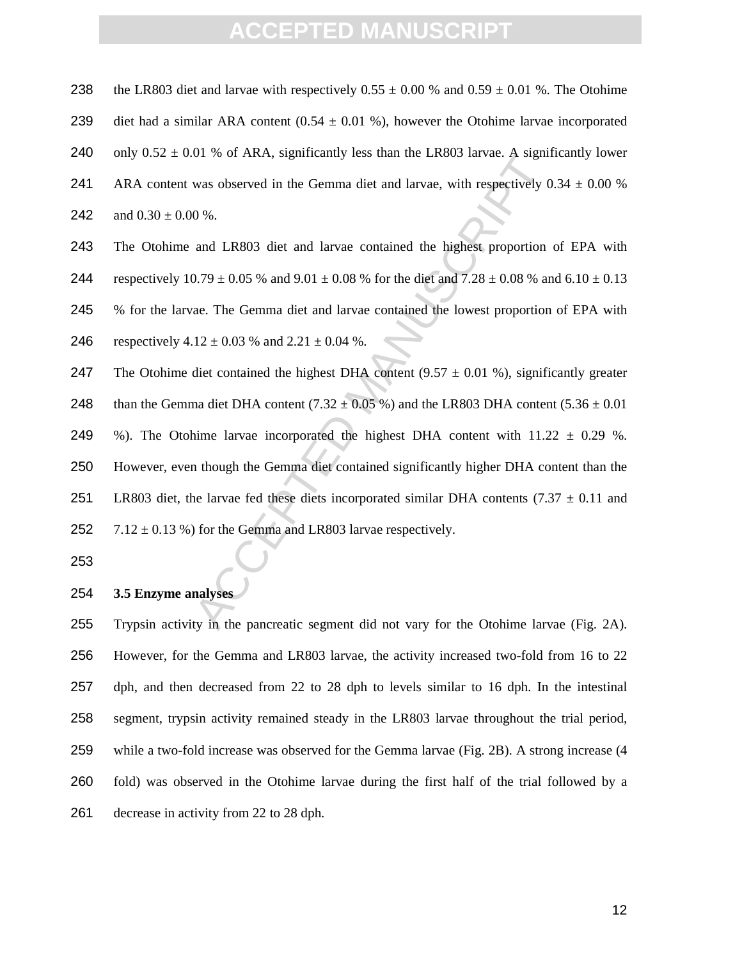238 the LR803 diet and larvae with respectively  $0.55 \pm 0.00$  % and  $0.59 \pm 0.01$  %. The Otohime

- 239 diet had a similar ARA content  $(0.54 \pm 0.01 \%)$ , however the Otohime larvae incorporated
- 240 only  $0.52 \pm 0.01$  % of ARA, significantly less than the LR803 larvae. A significantly lower
- 241 ARA content was observed in the Gemma diet and larvae, with respectively  $0.34 \pm 0.00$  %

242 and  $0.30 \pm 0.00$  %.

- 243 The Otohime and LR803 diet and larvae contained the highest proportion of EPA with
- 244 respectively  $10.79 \pm 0.05$  % and  $9.01 \pm 0.08$  % for the diet and  $7.28 \pm 0.08$  % and  $6.10 \pm 0.13$
- 245 % for the larvae. The Gemma diet and larvae contained the lowest proportion of EPA with
- 246 respectively  $4.12 \pm 0.03$  % and  $2.21 \pm 0.04$  %.
- 247 The Otohime diet contained the highest DHA content  $(9.57 \pm 0.01 \%)$ , significantly greater
- 248 than the Gemma diet DHA content  $(7.32 \pm 0.05\%)$  and the LR803 DHA content  $(5.36 \pm 0.01\%)$

249 %). The Otohime larvae incorporated the highest DHA content with  $11.22 \pm 0.29$  %.

of  $\pi$  of ARA, sigmneamy less than the LR603 fatvae. A signin<br>was observed in the Gemma diet and larvae, with respectively 0<br>9%.<br>and LR803 diet and larvae contained the highest proportion<br>0.79 ± 0.05 % and 9.01 ± 0.08 % 250 However, even though the Gemma diet contained significantly higher DHA content than the 251 LR803 diet, the larvae fed these diets incorporated similar DHA contents  $(7.37 \pm 0.11)$  and 252 7.12  $\pm$  0.13 %) for the Gemma and LR803 larvae respectively.

253

#### 254 **3.5 Enzyme analyses**

Trypsin activity in the pancreatic segment did not vary for the Otohime larvae (Fig. 2A). However, for the Gemma and LR803 larvae, the activity increased two-fold from 16 to 22 dph, and then decreased from 22 to 28 dph to levels similar to 16 dph. In the intestinal segment, trypsin activity remained steady in the LR803 larvae throughout the trial period, while a two-fold increase was observed for the Gemma larvae (Fig. 2B). A strong increase (4 fold) was observed in the Otohime larvae during the first half of the trial followed by a decrease in activity from 22 to 28 dph.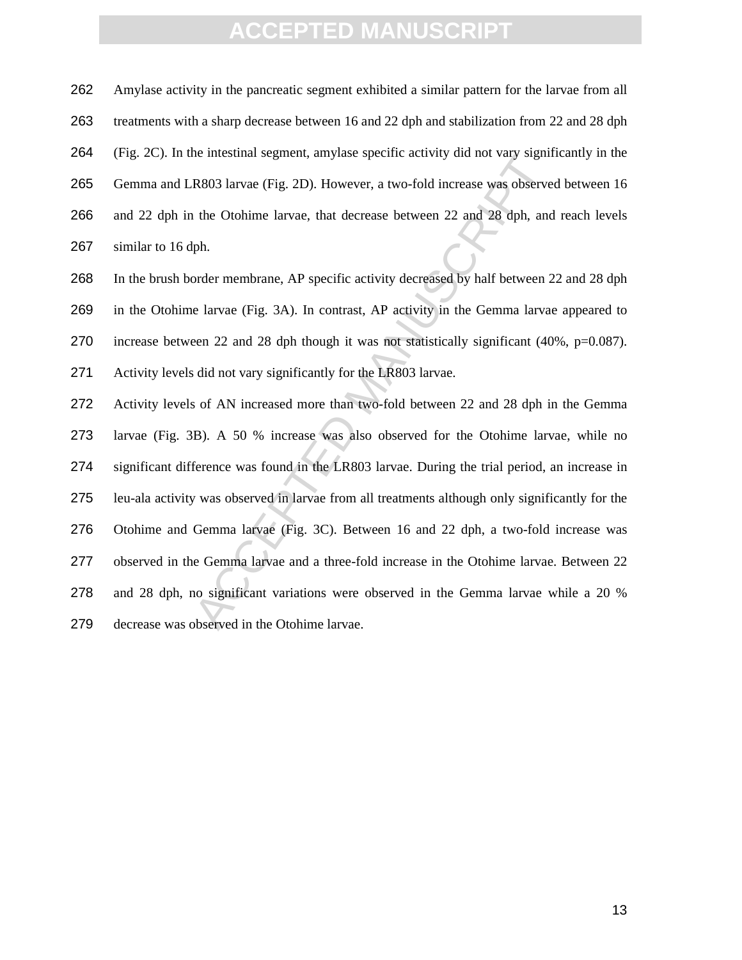Amylase activity in the pancreatic segment exhibited a similar pattern for the larvae from all treatments with a sharp decrease between 16 and 22 dph and stabilization from 22 and 28 dph (Fig. 2C). In the intestinal segment, amylase specific activity did not vary significantly in the Gemma and LR803 larvae (Fig. 2D). However, a two-fold increase was observed between 16 and 22 dph in the Otohime larvae, that decrease between 22 and 28 dph, and reach levels similar to 16 dph.

In the brush border membrane, AP specific activity decreased by half between 22 and 28 dph in the Otohime larvae (Fig. 3A). In contrast, AP activity in the Gemma larvae appeared to increase between 22 and 28 dph though it was not statistically significant (40%, p=0.087). Activity levels did not vary significantly for the LR803 larvae.

R803 larvae (Fig. 2D). However, a two-fold increase was observe<br>the Otohime larvae, that decrease between 22 and 28 dph, and<br>ph.<br>order membrane, AP specific activity decreased by half between 2<br>e larvae (Fig. 3A). In contr Activity levels of AN increased more than two-fold between 22 and 28 dph in the Gemma larvae (Fig. 3B). A 50 % increase was also observed for the Otohime larvae, while no significant difference was found in the LR803 larvae. During the trial period, an increase in leu-ala activity was observed in larvae from all treatments although only significantly for the Otohime and Gemma larvae (Fig. 3C). Between 16 and 22 dph, a two-fold increase was observed in the Gemma larvae and a three-fold increase in the Otohime larvae. Between 22 and 28 dph, no significant variations were observed in the Gemma larvae while a 20 % decrease was observed in the Otohime larvae.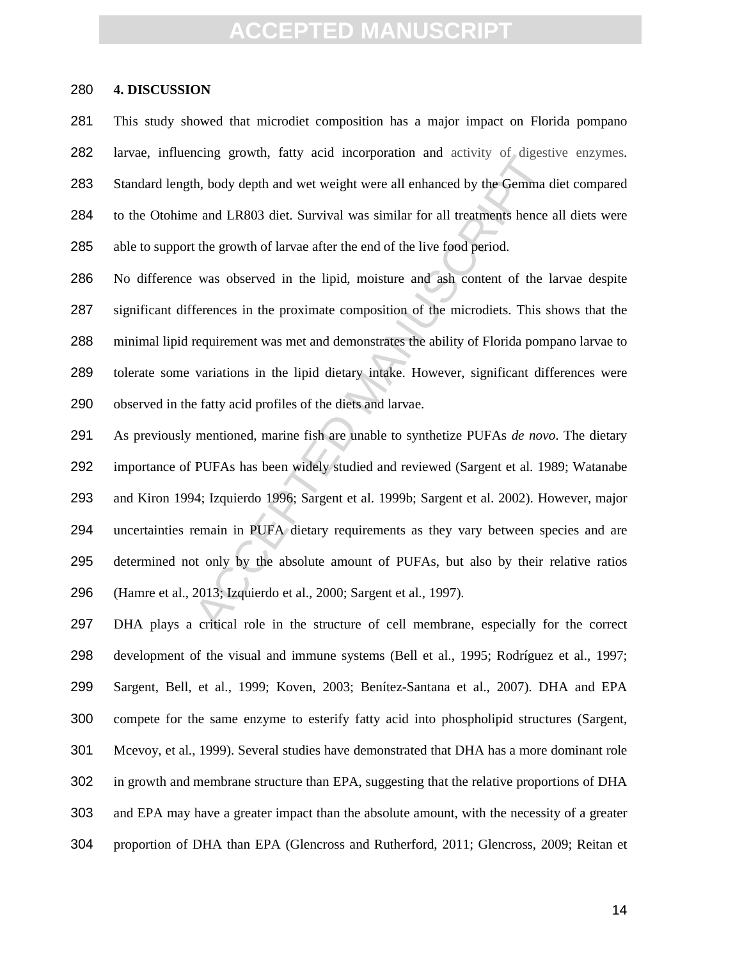#### **4. DISCUSSION**

This study showed that microdiet composition has a major impact on Florida pompano larvae, influencing growth, fatty acid incorporation and activity of digestive enzymes. Standard length, body depth and wet weight were all enhanced by the Gemma diet compared to the Otohime and LR803 diet. Survival was similar for all treatments hence all diets were able to support the growth of larvae after the end of the live food period.

No difference was observed in the lipid, moisture and ash content of the larvae despite significant differences in the proximate composition of the microdiets. This shows that the minimal lipid requirement was met and demonstrates the ability of Florida pompano larvae to tolerate some variations in the lipid dietary intake. However, significant differences were observed in the fatty acid profiles of the diets and larvae.

The metal growth, hatty actu incorporation and activity of digests.<br>
A, body depth and wet weight were all enhanced by the Gemma d<br>
c and LR803 dict. Survival was similar for all treatments hence at<br>
the growth of larvae a As previously mentioned, marine fish are unable to synthetize PUFAs *de novo*. The dietary importance of PUFAs has been widely studied and reviewed (Sargent et al. 1989; Watanabe and Kiron 1994; Izquierdo 1996; Sargent et al. 1999b; Sargent et al. 2002). However, major uncertainties remain in PUFA dietary requirements as they vary between species and are determined not only by the absolute amount of PUFAs, but also by their relative ratios (Hamre et al., 2013; Izquierdo et al., 2000; Sargent et al., 1997).

DHA plays a critical role in the structure of cell membrane, especially for the correct development of the visual and immune systems (Bell et al., 1995; Rodríguez et al., 1997; Sargent, Bell, et al., 1999; Koven, 2003; Benítez-Santana et al., 2007). DHA and EPA compete for the same enzyme to esterify fatty acid into phospholipid structures (Sargent, Mcevoy, et al., 1999). Several studies have demonstrated that DHA has a more dominant role in growth and membrane structure than EPA, suggesting that the relative proportions of DHA and EPA may have a greater impact than the absolute amount, with the necessity of a greater proportion of DHA than EPA (Glencross and Rutherford, 2011; Glencross, 2009; Reitan et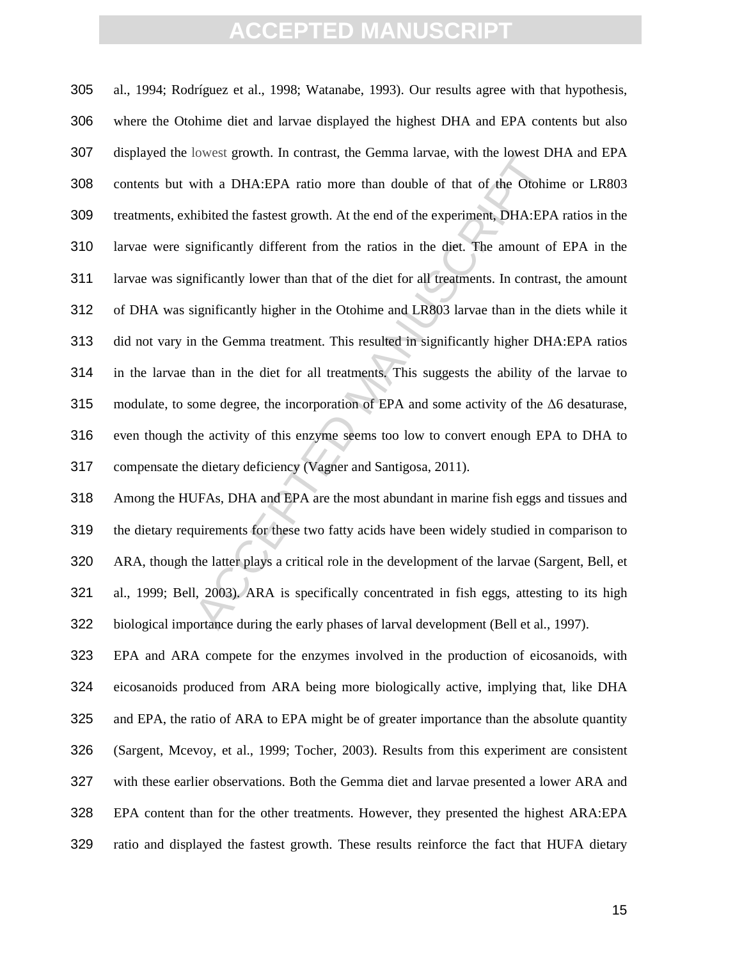bowest grownt. In contrast, the Gemina latvae, whit his dowest *D*<br>with a DHA:EPA ratio more than double of that of the Otohin<br>hibited the fastest growth. At the end of the experiment, DHA:EPA<br>ignificantly different from al., 1994; Rodríguez et al., 1998; Watanabe, 1993). Our results agree with that hypothesis, where the Otohime diet and larvae displayed the highest DHA and EPA contents but also displayed the lowest growth. In contrast, the Gemma larvae, with the lowest DHA and EPA contents but with a DHA:EPA ratio more than double of that of the Otohime or LR803 treatments, exhibited the fastest growth. At the end of the experiment, DHA:EPA ratios in the larvae were significantly different from the ratios in the diet. The amount of EPA in the larvae was significantly lower than that of the diet for all treatments. In contrast, the amount of DHA was significantly higher in the Otohime and LR803 larvae than in the diets while it did not vary in the Gemma treatment. This resulted in significantly higher DHA:EPA ratios in the larvae than in the diet for all treatments. This suggests the ability of the larvae to modulate, to some degree, the incorporation of EPA and some activity of the ∆6 desaturase, even though the activity of this enzyme seems too low to convert enough EPA to DHA to compensate the dietary deficiency (Vagner and Santigosa, 2011).

Among the HUFAs, DHA and EPA are the most abundant in marine fish eggs and tissues and the dietary requirements for these two fatty acids have been widely studied in comparison to ARA, though the latter plays a critical role in the development of the larvae (Sargent, Bell, et al., 1999; Bell, 2003). ARA is specifically concentrated in fish eggs, attesting to its high biological importance during the early phases of larval development (Bell et al., 1997).

EPA and ARA compete for the enzymes involved in the production of eicosanoids, with eicosanoids produced from ARA being more biologically active, implying that, like DHA and EPA, the ratio of ARA to EPA might be of greater importance than the absolute quantity (Sargent, Mcevoy, et al., 1999; Tocher, 2003). Results from this experiment are consistent with these earlier observations. Both the Gemma diet and larvae presented a lower ARA and EPA content than for the other treatments. However, they presented the highest ARA:EPA ratio and displayed the fastest growth. These results reinforce the fact that HUFA dietary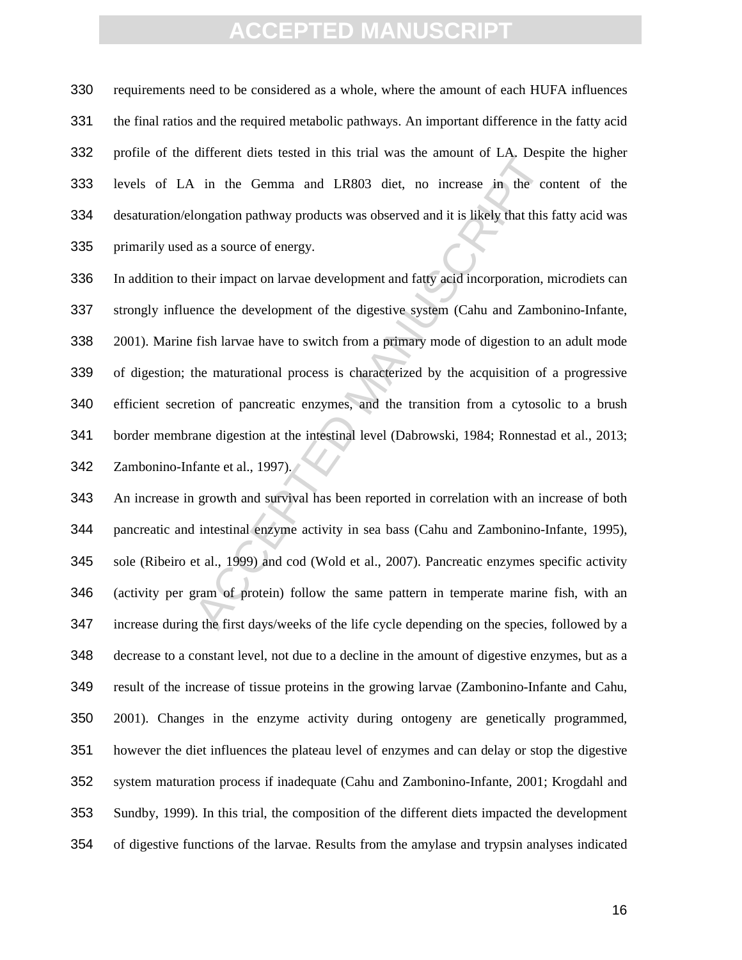requirements need to be considered as a whole, where the amount of each HUFA influences the final ratios and the required metabolic pathways. An important difference in the fatty acid profile of the different diets tested in this trial was the amount of LA. Despite the higher levels of LA in the Gemma and LR803 diet, no increase in the content of the desaturation/elongation pathway products was observed and it is likely that this fatty acid was primarily used as a source of energy.

in the Gemma and LR803 diet, no increase in the colongation pathway products was observed and it is likely that this 1 as a source of energy.<br>
their impact on larvae development and fatty acid incorporation, n<br>
ence the de In addition to their impact on larvae development and fatty acid incorporation, microdiets can strongly influence the development of the digestive system (Cahu and Zambonino-Infante, 2001). Marine fish larvae have to switch from a primary mode of digestion to an adult mode of digestion; the maturational process is characterized by the acquisition of a progressive efficient secretion of pancreatic enzymes, and the transition from a cytosolic to a brush border membrane digestion at the intestinal level (Dabrowski, 1984; Ronnestad et al., 2013; 342 Zambonino-Infante et al., 1997).

An increase in growth and survival has been reported in correlation with an increase of both pancreatic and intestinal enzyme activity in sea bass (Cahu and Zambonino-Infante, 1995), sole (Ribeiro et al., 1999) and cod (Wold et al., 2007). Pancreatic enzymes specific activity (activity per gram of protein) follow the same pattern in temperate marine fish, with an increase during the first days/weeks of the life cycle depending on the species, followed by a decrease to a constant level, not due to a decline in the amount of digestive enzymes, but as a result of the increase of tissue proteins in the growing larvae (Zambonino-Infante and Cahu, 2001). Changes in the enzyme activity during ontogeny are genetically programmed, however the diet influences the plateau level of enzymes and can delay or stop the digestive system maturation process if inadequate (Cahu and Zambonino-Infante, 2001; Krogdahl and Sundby, 1999). In this trial, the composition of the different diets impacted the development of digestive functions of the larvae. Results from the amylase and trypsin analyses indicated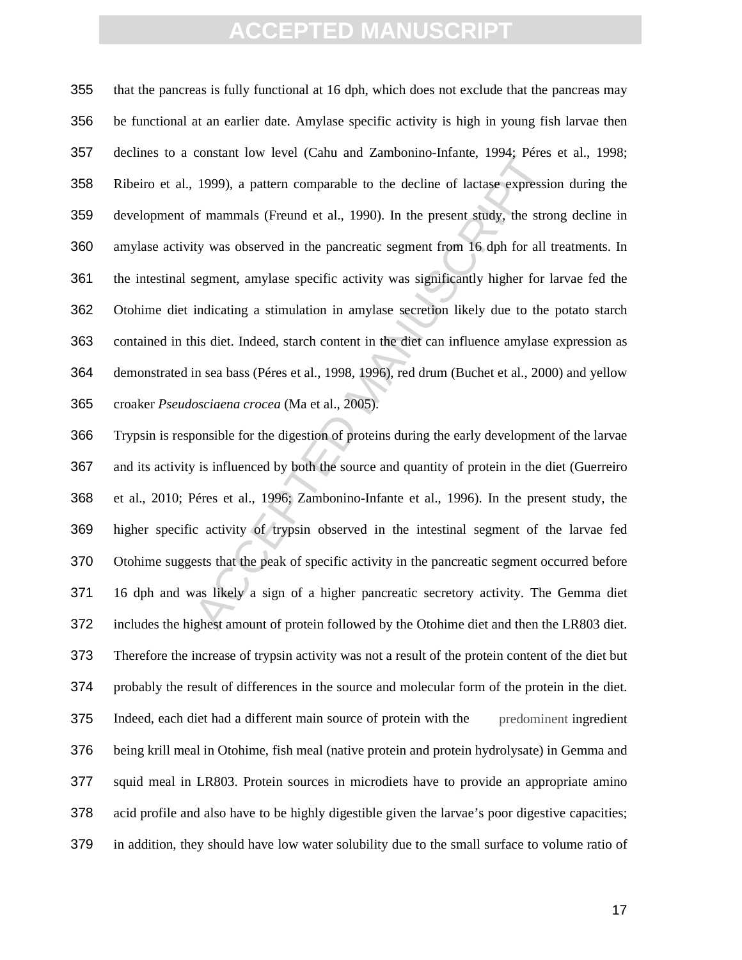constant low level (cand and Zanhommo-Imanic, 1994, retes<br>1999), a pattern comparable to the decline of lactase expressic<br>of mammals (Freund et al., 1990). In the present study, the stro<br>ivy was observed in the pancreatic that the pancreas is fully functional at 16 dph, which does not exclude that the pancreas may be functional at an earlier date. Amylase specific activity is high in young fish larvae then declines to a constant low level (Cahu and Zambonino-Infante, 1994; Péres et al., 1998; Ribeiro et al., 1999), a pattern comparable to the decline of lactase expression during the development of mammals (Freund et al., 1990). In the present study, the strong decline in amylase activity was observed in the pancreatic segment from 16 dph for all treatments. In the intestinal segment, amylase specific activity was significantly higher for larvae fed the Otohime diet indicating a stimulation in amylase secretion likely due to the potato starch contained in this diet. Indeed, starch content in the diet can influence amylase expression as demonstrated in sea bass (Péres et al., 1998, 1996), red drum (Buchet et al., 2000) and yellow croaker *Pseudosciaena crocea* (Ma et al., 2005).

Trypsin is responsible for the digestion of proteins during the early development of the larvae and its activity is influenced by both the source and quantity of protein in the diet (Guerreiro et al., 2010; Péres et al., 1996; Zambonino-Infante et al., 1996). In the present study, the higher specific activity of trypsin observed in the intestinal segment of the larvae fed Otohime suggests that the peak of specific activity in the pancreatic segment occurred before 16 dph and was likely a sign of a higher pancreatic secretory activity. The Gemma diet includes the highest amount of protein followed by the Otohime diet and then the LR803 diet. Therefore the increase of trypsin activity was not a result of the protein content of the diet but probably the result of differences in the source and molecular form of the protein in the diet. Indeed, each diet had a different main source of protein with the predominent ingredient being krill meal in Otohime, fish meal (native protein and protein hydrolysate) in Gemma and squid meal in LR803. Protein sources in microdiets have to provide an appropriate amino acid profile and also have to be highly digestible given the larvae's poor digestive capacities; in addition, they should have low water solubility due to the small surface to volume ratio of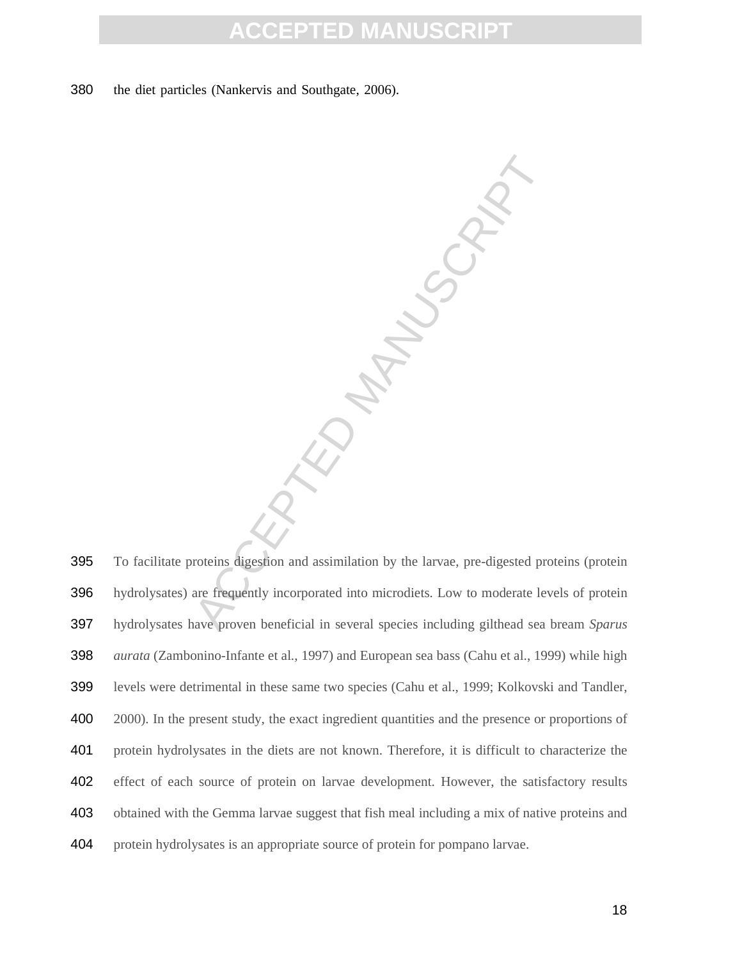**MANUSCRIPT** 

the diet particles (Nankervis and Southgate, 2006).

To facilitate proteins digestion and assimilation by the larvae, pre-digested proteins (protein hydrolysates) are frequently incorporated into microdiets. Low to moderate levels of protein hydrolysates have proven beneficial in several species including gilthead sea bream *Sparus aurata* (Zambonino-Infante et al., 1997) and European sea bass (Cahu et al., 1999) while high levels were detrimental in these same two species (Cahu et al., 1999; Kolkovski and Tandler, 2000). In the present study, the exact ingredient quantities and the presence or proportions of protein hydrolysates in the diets are not known. Therefore, it is difficult to characterize the effect of each source of protein on larvae development. However, the satisfactory results obtained with the Gemma larvae suggest that fish meal including a mix of native proteins and protein hydrolysates is an appropriate source of protein for pompano larvae.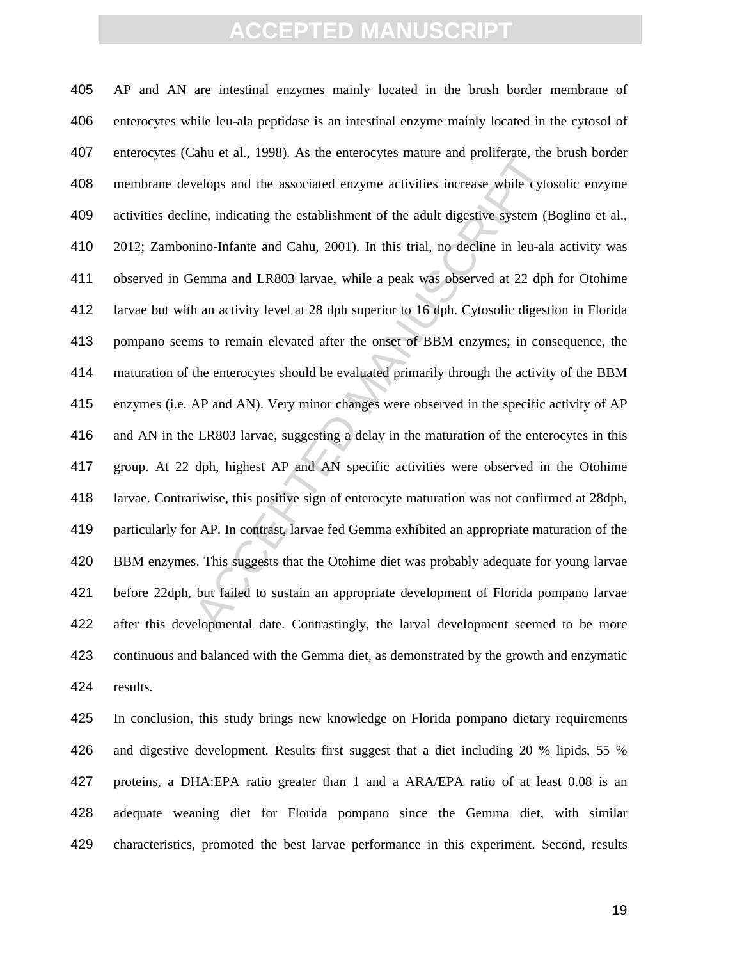and et al., 1996). As the emetocytes manne and prometate, the<br>velops and the associated enzyme activities increase while cyto<br>ine, indicating the establishment of the adult digestive system (B<br>ino-Infante and Cahu, 2001). AP and AN are intestinal enzymes mainly located in the brush border membrane of enterocytes while leu-ala peptidase is an intestinal enzyme mainly located in the cytosol of enterocytes (Cahu et al., 1998). As the enterocytes mature and proliferate, the brush border membrane develops and the associated enzyme activities increase while cytosolic enzyme activities decline, indicating the establishment of the adult digestive system (Boglino et al., 2012; Zambonino-Infante and Cahu, 2001). In this trial, no decline in leu-ala activity was observed in Gemma and LR803 larvae, while a peak was observed at 22 dph for Otohime larvae but with an activity level at 28 dph superior to 16 dph. Cytosolic digestion in Florida pompano seems to remain elevated after the onset of BBM enzymes; in consequence, the maturation of the enterocytes should be evaluated primarily through the activity of the BBM enzymes (i.e. AP and AN). Very minor changes were observed in the specific activity of AP and AN in the LR803 larvae, suggesting a delay in the maturation of the enterocytes in this group. At 22 dph, highest AP and AN specific activities were observed in the Otohime larvae. Contrariwise, this positive sign of enterocyte maturation was not confirmed at 28dph, particularly for AP. In contrast, larvae fed Gemma exhibited an appropriate maturation of the BBM enzymes. This suggests that the Otohime diet was probably adequate for young larvae before 22dph, but failed to sustain an appropriate development of Florida pompano larvae after this developmental date. Contrastingly, the larval development seemed to be more continuous and balanced with the Gemma diet, as demonstrated by the growth and enzymatic results.

In conclusion, this study brings new knowledge on Florida pompano dietary requirements and digestive development. Results first suggest that a diet including 20 % lipids, 55 % proteins, a DHA:EPA ratio greater than 1 and a ARA/EPA ratio of at least 0.08 is an adequate weaning diet for Florida pompano since the Gemma diet, with similar characteristics, promoted the best larvae performance in this experiment. Second, results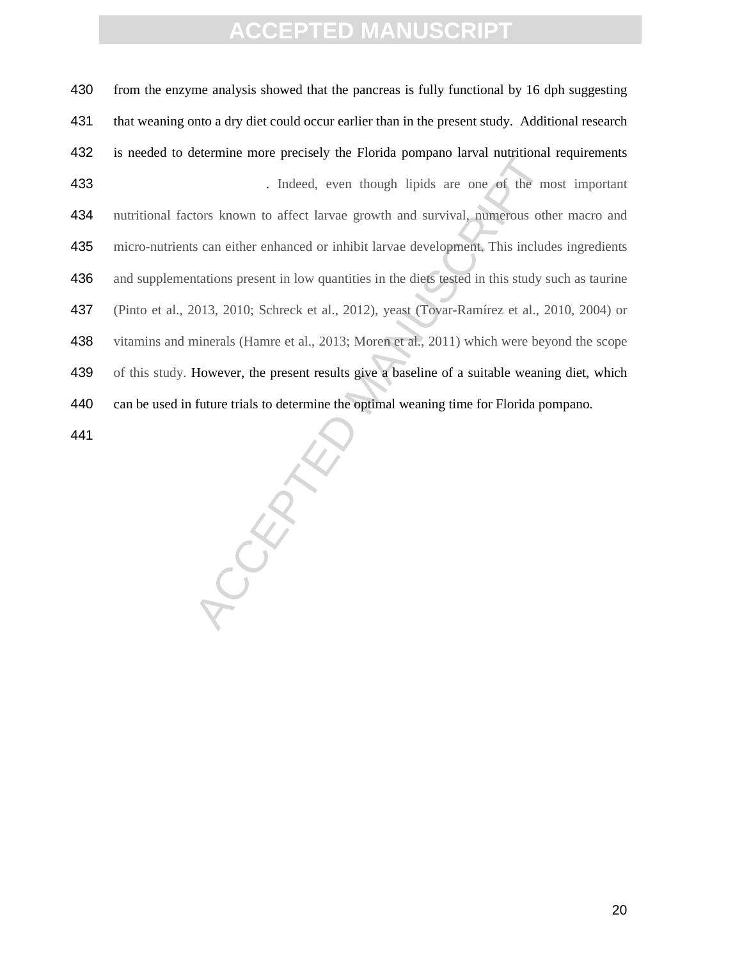430 from the enzyme analysis showed that the pancreas is fully functional by 16 dph suggesting that weaning onto a dry diet could occur earlier than in the present study. Additional research is needed to determine more precisely the Florida pompano larval nutritional requirements 433 . Indeed, even though lipids are one of the most important nutritional factors known to affect larvae growth and survival, numerous other macro and micro-nutrients can either enhanced or inhibit larvae development. This includes ingredients and supplementations present in low quantities in the diets tested in this study such as taurine (Pinto et al., 2013, 2010; Schreck et al., 2012), yeast (Tovar-Ramírez et al., 2010, 2004) or 438 vitamins and minerals (Hamre et al., 2013; Moren et al., 2011) which were beyond the scope of this study. However, the present results give a baseline of a suitable weaning diet, which can be used in future trials to determine the optimal weaning time for Florida pompano. 

ACCEPTED M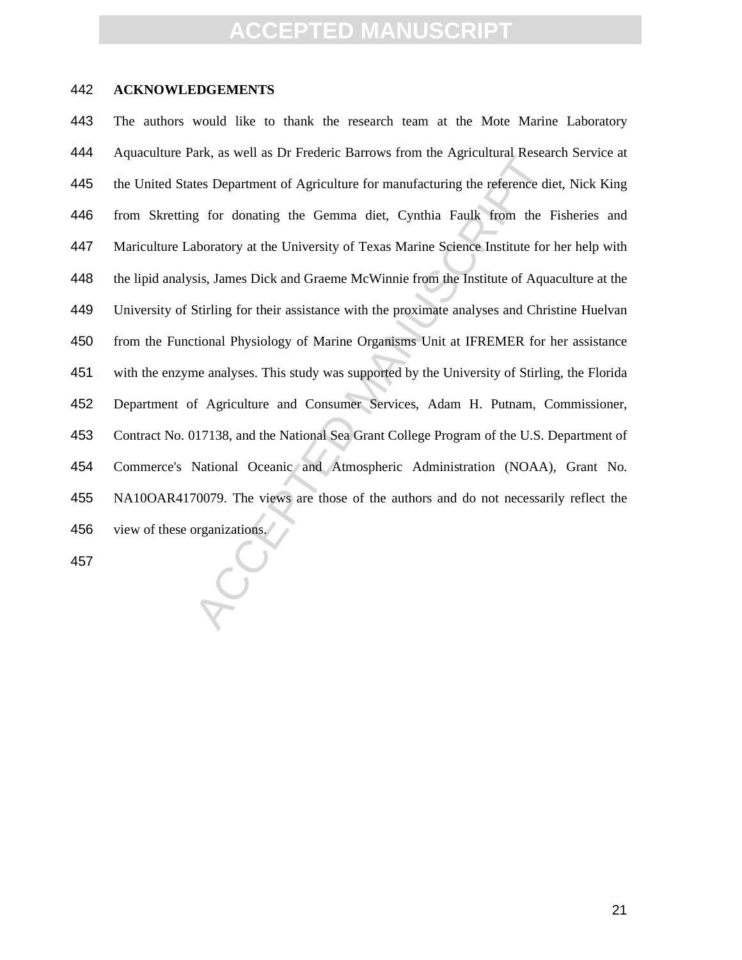#### **ACKNOWLEDGEMENTS**

atx, as well as DI Frederic Ballows from the Agricultural Resear<br>tes Department of Agriculture for manufacturing the reference dieg for donating the Germma diet, Cynthia Faulk from the In-<br>aboratory at the University of Te The authors would like to thank the research team at the Mote Marine Laboratory Aquaculture Park, as well as Dr Frederic Barrows from the Agricultural Research Service at 445 the United States Department of Agriculture for manufacturing the reference diet, Nick King from Skretting for donating the Gemma diet, Cynthia Faulk from the Fisheries and Mariculture Laboratory at the University of Texas Marine Science Institute for her help with the lipid analysis, James Dick and Graeme McWinnie from the Institute of Aquaculture at the University of Stirling for their assistance with the proximate analyses and Christine Huelvan from the Functional Physiology of Marine Organisms Unit at IFREMER for her assistance with the enzyme analyses. This study was supported by the University of Stirling, the Florida Department of Agriculture and Consumer Services, Adam H. Putnam, Commissioner, Contract No. 017138, and the National Sea Grant College Program of the U.S. Department of Commerce's National Oceanic and Atmospheric Administration (NOAA), Grant No. NA10OAR4170079. The views are those of the authors and do not necessarily reflect the view of these organizations.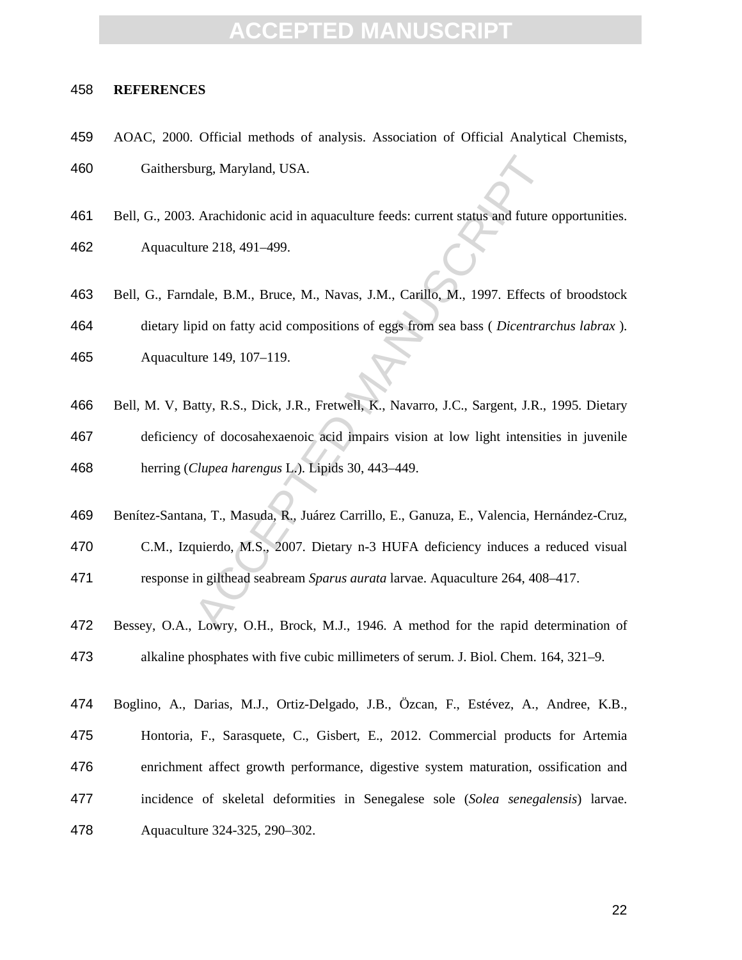#### **REFERENCES**

- AOAC, 2000. Official methods of analysis. Association of Official Analytical Chemists, Gaithersburg, Maryland, USA.
- Bell, G., 2003. Arachidonic acid in aquaculture feeds: current status and future opportunities.

Aquaculture 218, 491–499.

- Bell, G., Farndale, B.M., Bruce, M., Navas, J.M., Carillo, M., 1997. Effects of broodstock dietary lipid on fatty acid compositions of eggs from sea bass ( *Dicentrarchus labrax* ). Aquaculture 149, 107–119.
- ourg, Maryland, USA.<br>
Arachidonic acid in aquaculture feeds: current status and future oure 218, 491-499.<br>
dale, B.M., Bruce, M., Navas, J.M., Carillo, M., 1997. Effects copid on fatty acid compositions of eggs from sea ba Bell, M. V, Batty, R.S., Dick, J.R., Fretwell, K., Navarro, J.C., Sargent, J.R., 1995. Dietary deficiency of docosahexaenoic acid impairs vision at low light intensities in juvenile herring (*Clupea harengus* L.). Lipids 30, 443–449.
- Benítez-Santana, T., Masuda, R., Juárez Carrillo, E., Ganuza, E., Valencia, Hernández-Cruz, C.M., Izquierdo, M.S., 2007. Dietary n-3 HUFA deficiency induces a reduced visual response in gilthead seabream *Sparus aurata* larvae. Aquaculture 264, 408–417.
- Bessey, O.A., Lowry, O.H., Brock, M.J., 1946. A method for the rapid determination of alkaline phosphates with five cubic millimeters of serum. J. Biol. Chem. 164, 321–9.
- Boglino, A., Darias, M.J., Ortiz-Delgado, J.B., Özcan, F., Estévez, A., Andree, K.B., Hontoria, F., Sarasquete, C., Gisbert, E., 2012. Commercial products for Artemia enrichment affect growth performance, digestive system maturation, ossification and incidence of skeletal deformities in Senegalese sole (*Solea senegalensis*) larvae. Aquaculture 324-325, 290–302.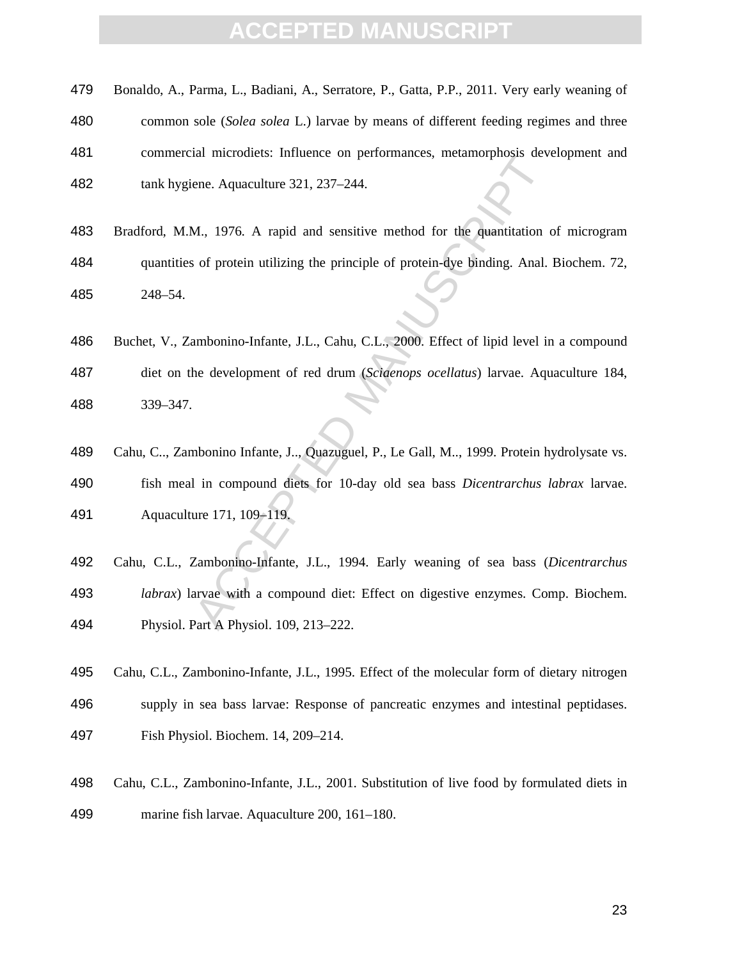#### **EPTED MAI**

| 479 | Bonaldo, A., Parma, L., Badiani, A., Serratore, P., Gatta, P.P., 2011. Very early weaning of |
|-----|----------------------------------------------------------------------------------------------|
| 480 | common sole (Solea solea L.) larvae by means of different feeding regimes and three          |
| 481 | commercial microdiets: Influence on performances, metamorphosis development and              |
| 482 | tank hygiene. Aquaculture 321, 237–244.                                                      |

- Bradford, M.M., 1976. A rapid and sensitive method for the quantitation of microgram quantities of protein utilizing the principle of protein-dye binding. Anal. Biochem. 72, 248–54.
- Buchet, V., Zambonino-Infante, J.L., Cahu, C.L., 2000. Effect of lipid level in a compound diet on the development of red drum (*Sciaenops ocellatus*) larvae. Aquaculture 184, 339–347.
- aa introducts. innuence on periormances, includions developed and sensitive method for the quantitation control.<br>ACCEPTED MANUSCRIPT MANUSCRIPT MANUSCRIPT MANUSCRIPT MANUSCRIPT MANUSCRIPT MANUSCRIPT MANUSCRIPT MANUSCRIPT M Cahu, C.., Zambonino Infante, J.., Quazuguel, P., Le Gall, M.., 1999. Protein hydrolysate vs. fish meal in compound diets for 10-day old sea bass *Dicentrarchus labrax* larvae. Aquaculture 171, 109–119.
- Cahu, C.L., Zambonino-Infante, J.L., 1994. Early weaning of sea bass (*Dicentrarchus labrax*) larvae with a compound diet: Effect on digestive enzymes. Comp. Biochem. Physiol. Part A Physiol. 109, 213–222.
- Cahu, C.L., Zambonino-Infante, J.L., 1995. Effect of the molecular form of dietary nitrogen supply in sea bass larvae: Response of pancreatic enzymes and intestinal peptidases. Fish Physiol. Biochem. 14, 209–214.
- Cahu, C.L., Zambonino-Infante, J.L., 2001. Substitution of live food by formulated diets in marine fish larvae. Aquaculture 200, 161–180.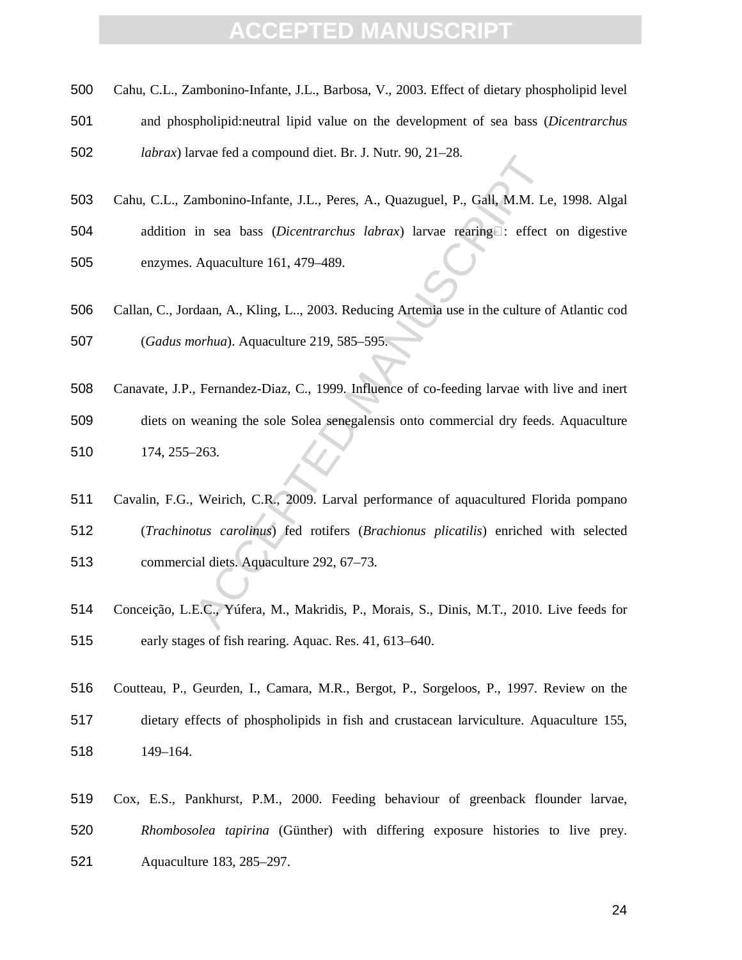- Cahu, C.L., Zambonino-Infante, J.L., Barbosa, V., 2003. Effect of dietary phospholipid level
- and phospholipid:neutral lipid value on the development of sea bass (*Dicentrarchus*

*labrax*) larvae fed a compound diet. Br. J. Nutr. 90, 21–28.

- Cahu, C.L., Zambonino-Infante, J.L., Peres, A., Quazuguel, P., Gall, M.M. Le, 1998. Algal
- addition in sea bass (*Dicentrarchus labrax*) larvae rearing : effect on digestive enzymes. Aquaculture 161, 479–489.
- Callan, C., Jordaan, A., Kling, L.., 2003. Reducing Artemia use in the culture of Atlantic cod (*Gadus morhua*). Aquaculture 219, 585–595.
- Canavate, J.P., Fernandez-Diaz, C., 1999. Influence of co-feeding larvae with live and inert diets on weaning the sole Solea senegalensis onto commercial dry feeds. Aquaculture 174, 255–263.
- IVae Ieu a compound diet. Bl. J. Null. 90, 21–26.<br>
ambonino-Infante, J.L., Peres, A., Quazuguel, P., Gall, M.M. Le<br>
in sea bass *(Dicentrarchus labrax*) larvae réaring<br>
Elect<br>
Aquaculture 161, 479–489.<br>
daan, A., Kling, L. Cavalin, F.G., Weirich, C.R., 2009. Larval performance of aquacultured Florida pompano (*Trachinotus carolinus*) fed rotifers (*Brachionus plicatilis*) enriched with selected commercial diets. Aquaculture 292, 67–73.
- Conceição, L.E.C., Yúfera, M., Makridis, P., Morais, S., Dinis, M.T., 2010. Live feeds for early stages of fish rearing. Aquac. Res. 41, 613–640.
- Coutteau, P., Geurden, I., Camara, M.R., Bergot, P., Sorgeloos, P., 1997. Review on the dietary effects of phospholipids in fish and crustacean larviculture. Aquaculture 155, 149–164.
- Cox, E.S., Pankhurst, P.M., 2000. Feeding behaviour of greenback flounder larvae, *Rhombosolea tapirina* (Günther) with differing exposure histories to live prey. Aquaculture 183, 285–297.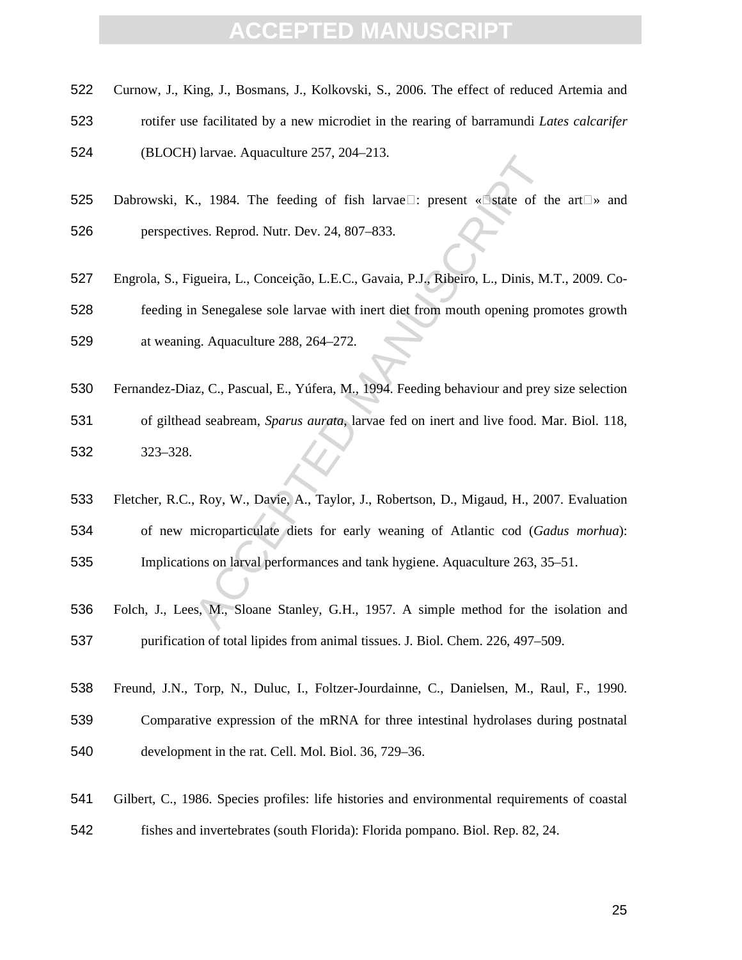- Curnow, J., King, J., Bosmans, J., Kolkovski, S., 2006. The effect of reduced Artemia and
- rotifer use facilitated by a new microdiet in the rearing of barramundi *Lates calcarifer*
- (BLOCH) larvae. Aquaculture 257, 204–213.
- 525 Dabrowski, K., 1984. The feeding of fish larvae $\square$ : present « $\square$ state of the art $\square$ » and perspectives. Reprod. Nutr. Dev. 24, 807–833.
- Station 1984. The feeding of fish larvae $\square$ : present « Static of the Wes. Reprod. Nutr. Dev. 24, 807–833.<br>
igueira, L., Conceição, L.E.C., Gavaia, P.J., Ribeiro, L., Dinis, M.<br>
in Senegalese sole larvae with inert diet f Engrola, S., Figueira, L., Conceição, L.E.C., Gavaia, P.J., Ribeiro, L., Dinis, M.T., 2009. Co-feeding in Senegalese sole larvae with inert diet from mouth opening promotes growth at weaning. Aquaculture 288, 264–272.
- Fernandez-Diaz, C., Pascual, E., Yúfera, M., 1994. Feeding behaviour and prey size selection of gilthead seabream, *Sparus aurata*, larvae fed on inert and live food. Mar. Biol. 118, 323–328.
- Fletcher, R.C., Roy, W., Davie, A., Taylor, J., Robertson, D., Migaud, H., 2007. Evaluation of new microparticulate diets for early weaning of Atlantic cod (*Gadus morhua*): Implications on larval performances and tank hygiene. Aquaculture 263, 35–51.
- Folch, J., Lees, M., Sloane Stanley, G.H., 1957. A simple method for the isolation and purification of total lipides from animal tissues. J. Biol. Chem. 226, 497–509.
- Freund, J.N., Torp, N., Duluc, I., Foltzer-Jourdainne, C., Danielsen, M., Raul, F., 1990.
- Comparative expression of the mRNA for three intestinal hydrolases during postnatal development in the rat. Cell. Mol. Biol. 36, 729–36.
- Gilbert, C., 1986. Species profiles: life histories and environmental requirements of coastal fishes and invertebrates (south Florida): Florida pompano. Biol. Rep. 82, 24.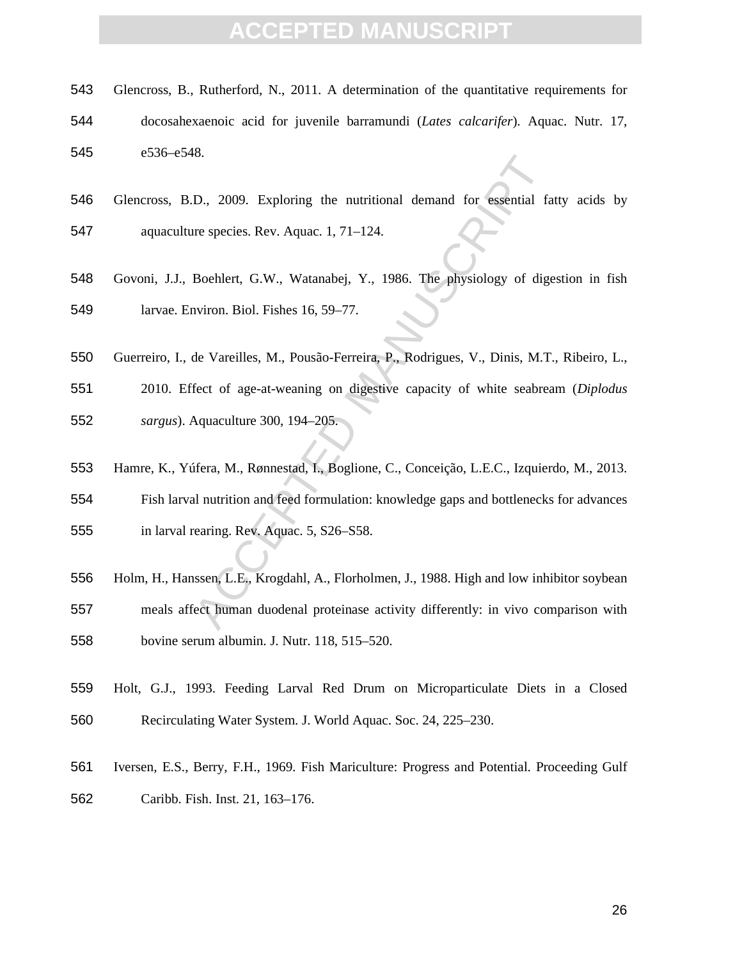- Glencross, B., Rutherford, N., 2011. A determination of the quantitative requirements for docosahexaenoic acid for juvenile barramundi (*Lates calcarifer*). Aquac. Nutr. 17, e536–e548.
- Glencross, B.D., 2009. Exploring the nutritional demand for essential fatty acids by aquaculture species. Rev. Aquac. 1, 71–124.
- Govoni, J.J., Boehlert, G.W., Watanabej, Y., 1986. The physiology of digestion in fish larvae. Environ. Biol. Fishes 16, 59–77.
- Guerreiro, I., de Vareilles, M., Pousão-Ferreira, P., Rodrigues, V., Dinis, M.T., Ribeiro, L.,
- 2010. Effect of age-at-weaning on digestive capacity of white seabream (*Diplodus sargus*). Aquaculture 300, 194–205.
- Hamre, K., Yúfera, M., Rønnestad, I., Boglione, C., Conceição, L.E.C., Izquierdo, M., 2013.
- Fish larval nutrition and feed formulation: knowledge gaps and bottlenecks for advances in larval rearing. Rev. Aquac. 5, S26–S58.
- Fo. 2009. Exploring the nutritional demand for essential fa<br>respecies. Rev. Aquac. 1, 71–124.<br>Boehlert, G.W., Watanabej, Y., 1986. The physiology of dige<br>aviron. Biol. Fishes 16, 59–77.<br>de Vareilles, M., Pousão-Ferreira, P Holm, H., Hanssen, L.E., Krogdahl, A., Florholmen, J., 1988. High and low inhibitor soybean meals affect human duodenal proteinase activity differently: in vivo comparison with bovine serum albumin. J. Nutr. 118, 515–520.
- Holt, G.J., 1993. Feeding Larval Red Drum on Microparticulate Diets in a Closed Recirculating Water System. J. World Aquac. Soc. 24, 225–230.
- Iversen, E.S., Berry, F.H., 1969. Fish Mariculture: Progress and Potential. Proceeding Gulf Caribb. Fish. Inst. 21, 163–176.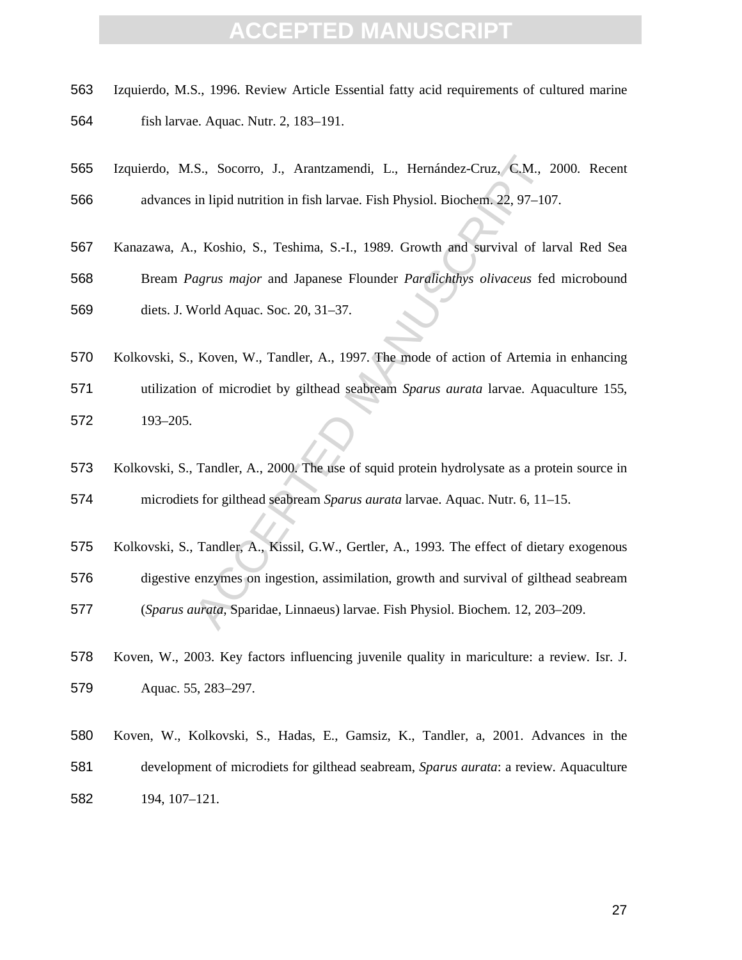- Izquierdo, M.S., 1996. Review Article Essential fatty acid requirements of cultured marine fish larvae. Aquac. Nutr. 2, 183–191.
- Izquierdo, M.S., Socorro, J., Arantzamendi, L., Hernández-Cruz, C.M., 2000. Recent advances in lipid nutrition in fish larvae. Fish Physiol. Biochem. 22, 97–107.
- Kanazawa, A., Koshio, S., Teshima, S.-I., 1989. Growth and survival of larval Red Sea
- Bream *Pagrus major* and Japanese Flounder *Paralichthys olivaceus* fed microbound diets. J. World Aquac. Soc. 20, 31–37.
- S., Socorro, J., Arantzamendi, L., Hernández-Cruz, C.M., 2<br>
in lipid nutrition in fish larvae. Fish Physiol. Biochem. 22, 97–10.<br>
A Koshio, S., Teshima, S.-l., 1989. Growth and survival of lar<br>
agrus major and Japanese Flo Kolkovski, S., Koven, W., Tandler, A., 1997. The mode of action of Artemia in enhancing utilization of microdiet by gilthead seabream *Sparus aurata* larvae. Aquaculture 155, 193–205.
- Kolkovski, S., Tandler, A., 2000. The use of squid protein hydrolysate as a protein source in microdiets for gilthead seabream *Sparus aurata* larvae. Aquac. Nutr. 6, 11–15.
- Kolkovski, S., Tandler, A., Kissil, G.W., Gertler, A., 1993. The effect of dietary exogenous digestive enzymes on ingestion, assimilation, growth and survival of gilthead seabream (*Sparus aurata*, Sparidae, Linnaeus) larvae. Fish Physiol. Biochem. 12, 203–209.
- Koven, W., 2003. Key factors influencing juvenile quality in mariculture: a review. Isr. J. Aquac. 55, 283–297.
- Koven, W., Kolkovski, S., Hadas, E., Gamsiz, K., Tandler, a, 2001. Advances in the development of microdiets for gilthead seabream, *Sparus aurata*: a review. Aquaculture 194, 107–121.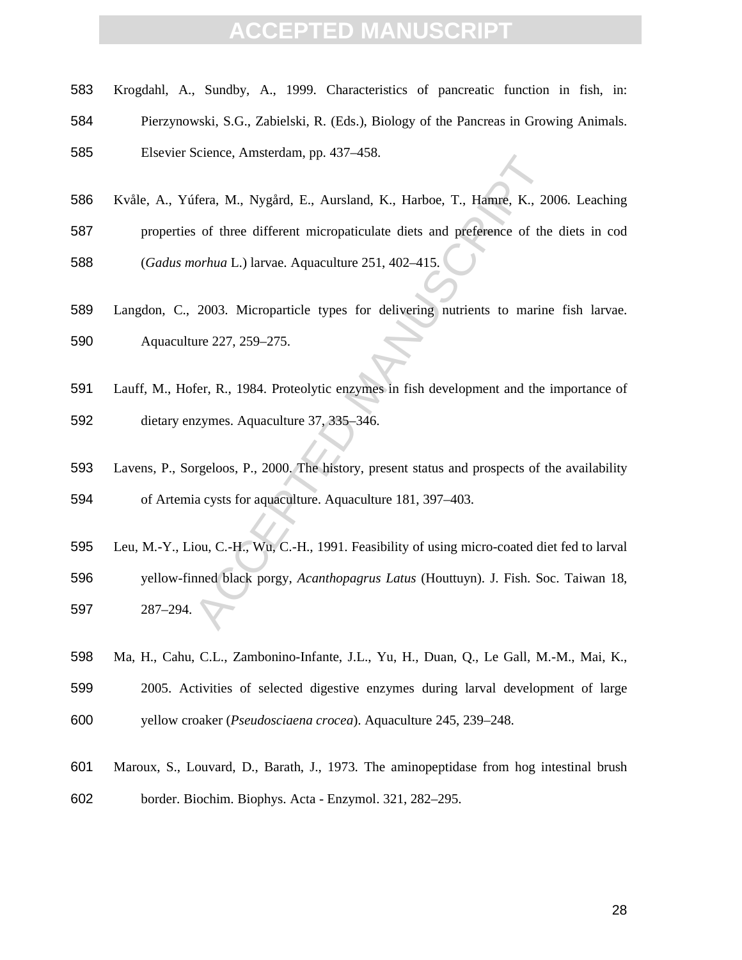- Krogdahl, A., Sundby, A., 1999. Characteristics of pancreatic function in fish, in:
- Pierzynowski, S.G., Zabielski, R. (Eds.), Biology of the Pancreas in Growing Animals.

Elsevier Science, Amsterdam, pp. 437–458.

- Kvåle, A., Yúfera, M., Nygård, E., Aursland, K., Harboe, T., Hamre, K., 2006. Leaching
- properties of three different micropaticulate diets and preference of the diets in cod
- (*Gadus morhua* L.) larvae. Aquaculture 251, 402–415.
- Langdon, C., 2003. Microparticle types for delivering nutrients to marine fish larvae. Aquaculture 227, 259–275.
- Lauff, M., Hofer, R., 1984. Proteolytic enzymes in fish development and the importance of dietary enzymes. Aquaculture 37, 335–346.
- Lavens, P., Sorgeloos, P., 2000. The history, present status and prospects of the availability of Artemia cysts for aquaculture. Aquaculture 181, 397–403.
- Stellare, Allistetiaan, pp. 457-450.<br>
Accelere, Allistetiaan, pp. 457-450.<br>
Solf three different micropaticulate diets and preference of the<br> *torhua* L.) larvae. Aquaculture 251, 402-415.<br>
2003. Microparticle types for de Leu, M.-Y., Liou, C.-H., Wu, C.-H., 1991. Feasibility of using micro-coated diet fed to larval yellow-finned black porgy, *Acanthopagrus Latus* (Houttuyn). J. Fish. Soc. Taiwan 18, 287–294.
- Ma, H., Cahu, C.L., Zambonino-Infante, J.L., Yu, H., Duan, Q., Le Gall, M.-M., Mai, K.,
- 2005. Activities of selected digestive enzymes during larval development of large
- yellow croaker (*Pseudosciaena crocea*). Aquaculture 245, 239–248.
- Maroux, S., Louvard, D., Barath, J., 1973. The aminopeptidase from hog intestinal brush border. Biochim. Biophys. Acta - Enzymol. 321, 282–295.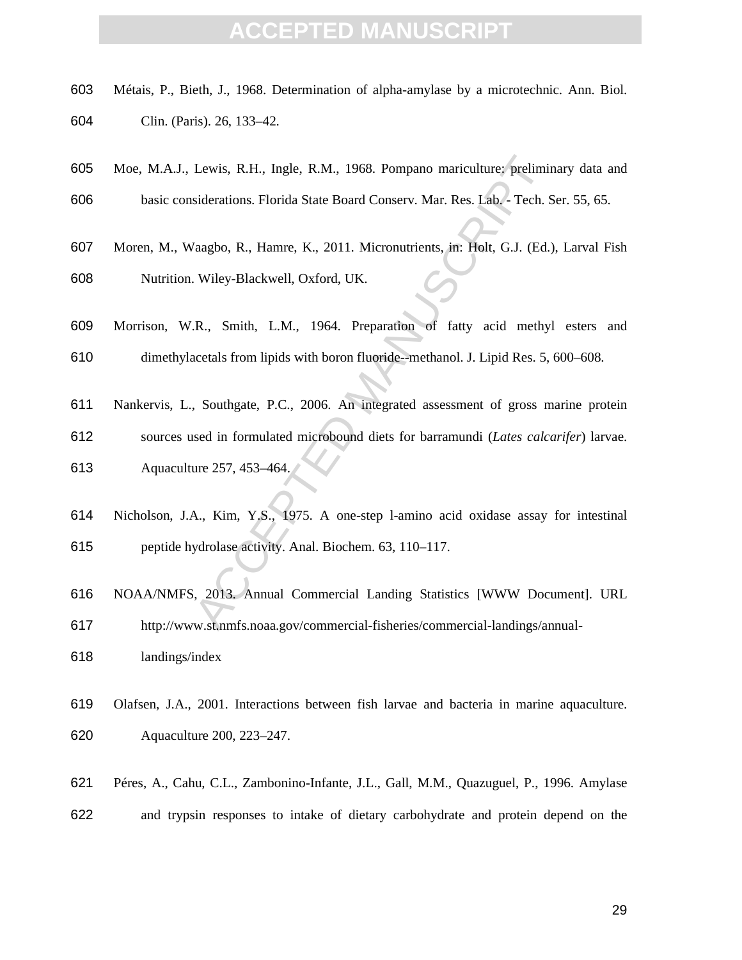- Métais, P., Bieth, J., 1968. Determination of alpha-amylase by a microtechnic. Ann. Biol. Clin. (Paris). 26, 133–42.
- Moe, M.A.J., Lewis, R.H., Ingle, R.M., 1968. Pompano mariculture: preliminary data and basic considerations. Florida State Board Conserv. Mar. Res. Lab. - Tech. Ser. 55, 65.
- Lewis, R.H., Ingle, R.M., 1968. Pompano mariculture; preliminal indicators. Florida State Board Conserv. Mar. Res. Lab. Tech. S<br>
(aagbo, R., Hamre, K., 2011. Micronutrients, in: Holt, G.J. (Ed.)<br>
Wiley-Blackwell, Oxford, Moren, M., Waagbo, R., Hamre, K., 2011. Micronutrients, in: Holt, G.J. (Ed.), Larval Fish Nutrition. Wiley-Blackwell, Oxford, UK.
- Morrison, W.R., Smith, L.M., 1964. Preparation of fatty acid methyl esters and dimethylacetals from lipids with boron fluoride--methanol. J. Lipid Res. 5, 600–608.
- Nankervis, L., Southgate, P.C., 2006. An integrated assessment of gross marine protein
- sources used in formulated microbound diets for barramundi (*Lates calcarifer*) larvae. Aquaculture 257, 453–464.
- Nicholson, J.A., Kim, Y.S., 1975. A one-step l-amino acid oxidase assay for intestinal peptide hydrolase activity. Anal. Biochem. 63, 110–117.
- NOAA/NMFS, 2013. Annual Commercial Landing Statistics [WWW Document]. URL http://www.st.nmfs.noaa.gov/commercial-fisheries/commercial-landings/annual-
- landings/index
- Olafsen, J.A., 2001. Interactions between fish larvae and bacteria in marine aquaculture. Aquaculture 200, 223–247.
- Péres, A., Cahu, C.L., Zambonino-Infante, J.L., Gall, M.M., Quazuguel, P., 1996. Amylase and trypsin responses to intake of dietary carbohydrate and protein depend on the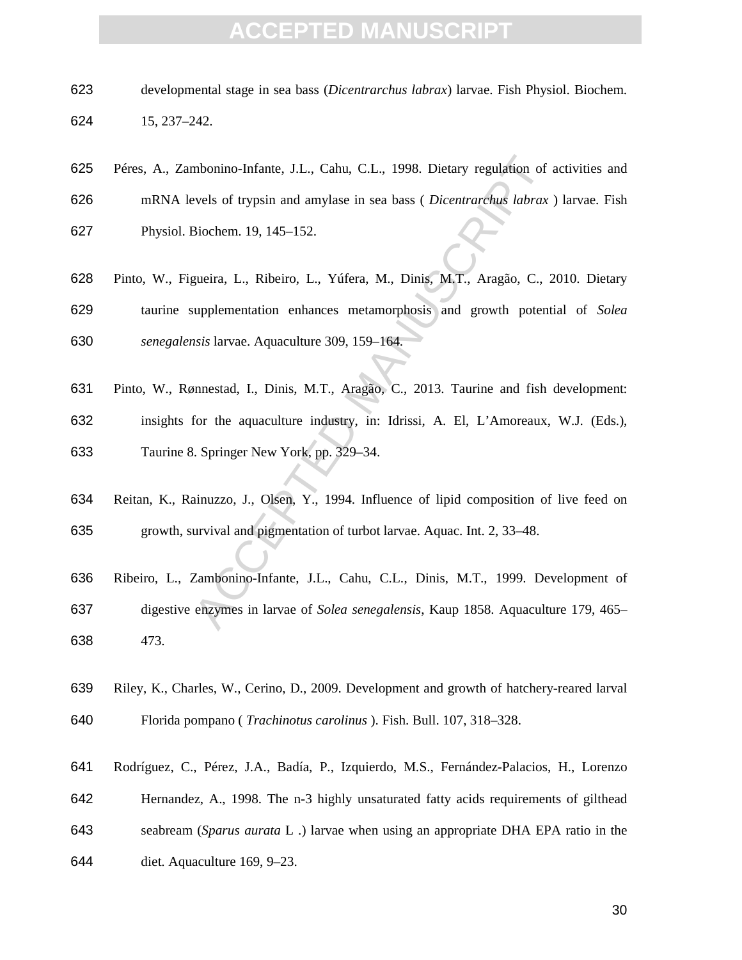- developmental stage in sea bass (*Dicentrarchus labrax*) larvae. Fish Physiol. Biochem. 15, 237–242.
- Péres, A., Zambonino-Infante, J.L., Cahu, C.L., 1998. Dietary regulation of activities and mRNA levels of trypsin and amylase in sea bass ( *Dicentrarchus labrax* ) larvae. Fish Physiol. Biochem. 19, 145–152.
- mbonino-Infante, J.L., Cahu, C.L., 1998. Dietary regulation of a<br>vels of trypsin and amylase in sea bass (*Dicentrarchus labrax*<br>Biochem. 19, 145–152.<br>gueira, L., Ribeiro, L., Yúfera, M., Dinis, M.T., Aragão, C., 2<br>uupplem Pinto, W., Figueira, L., Ribeiro, L., Yúfera, M., Dinis, M.T., Aragão, C., 2010. Dietary taurine supplementation enhances metamorphosis and growth potential of *Solea senegalensis* larvae. Aquaculture 309, 159–164.
- Pinto, W., Rønnestad, I., Dinis, M.T., Aragão, C., 2013. Taurine and fish development: insights for the aquaculture industry, in: Idrissi, A. El, L'Amoreaux, W.J. (Eds.), Taurine 8. Springer New York, pp. 329–34.
- Reitan, K., Rainuzzo, J., Olsen, Y., 1994. Influence of lipid composition of live feed on growth, survival and pigmentation of turbot larvae. Aquac. Int. 2, 33–48.
- Ribeiro, L., Zambonino-Infante, J.L., Cahu, C.L., Dinis, M.T., 1999. Development of digestive enzymes in larvae of *Solea senegalensis*, Kaup 1858. Aquaculture 179, 465– 473.
- Riley, K., Charles, W., Cerino, D., 2009. Development and growth of hatchery-reared larval Florida pompano ( *Trachinotus carolinus* ). Fish. Bull. 107, 318–328.
- Rodríguez, C., Pérez, J.A., Badía, P., Izquierdo, M.S., Fernández-Palacios, H., Lorenzo
- Hernandez, A., 1998. The n-3 highly unsaturated fatty acids requirements of gilthead
- seabream (*Sparus aurata* L .) larvae when using an appropriate DHA EPA ratio in the
- diet. Aquaculture 169, 9–23.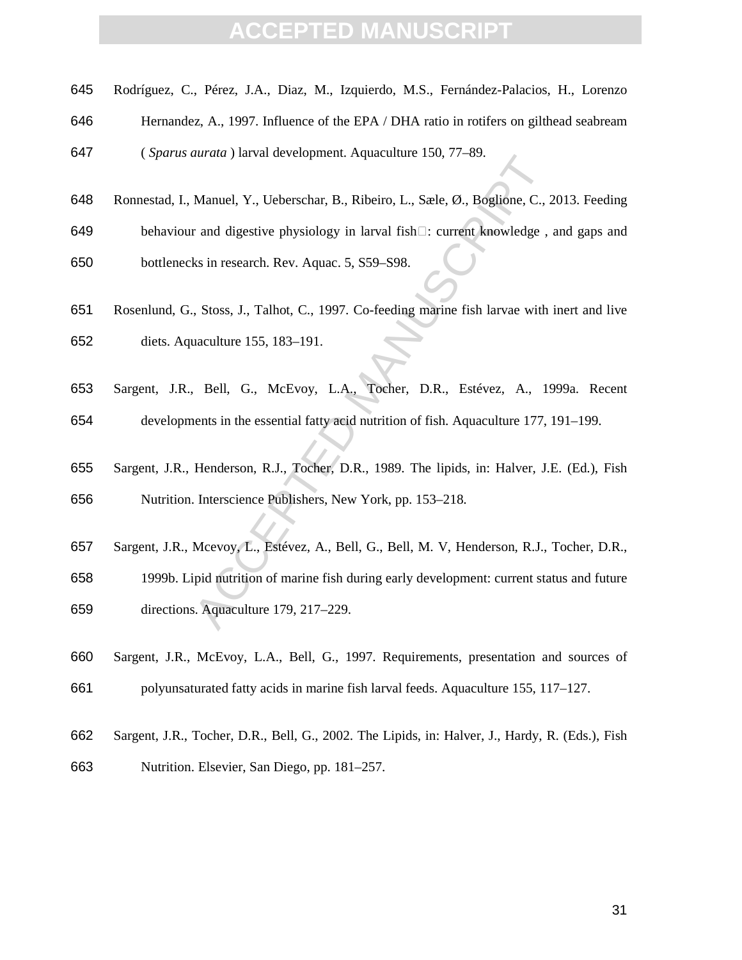- Rodríguez, C., Pérez, J.A., Diaz, M., Izquierdo, M.S., Fernández-Palacios, H., Lorenzo
- Hernandez, A., 1997. Influence of the EPA / DHA ratio in rotifers on gilthead seabream

( *Sparus aurata* ) larval development. Aquaculture 150, 77–89.

- Ronnestad, I., Manuel, Y., Ueberschar, B., Ribeiro, L., Sæle, Ø., Boglione, C., 2013. Feeding
- behaviour and digestive physiology in larval fish : current knowledge , and gaps and bottlenecks in research. Rev. Aquac. 5, S59–S98.
- Rosenlund, G., Stoss, J., Talhot, C., 1997. Co-feeding marine fish larvae with inert and live diets. Aquaculture 155, 183–191.
- Sargent, J.R., Bell, G., McEvoy, L.A., Tocher, D.R., Estévez, A., 1999a. Recent
- developments in the essential fatty acid nutrition of fish. Aquaculture 177, 191–199.
- Sargent, J.R., Henderson, R.J., Tocher, D.R., 1989. The lipids, in: Halver, J.E. (Ed.), Fish Nutrition. Interscience Publishers, New York, pp. 153–218.
- Sargent, J.R., Mcevoy, L., Estévez, A., Bell, G., Bell, M. V, Henderson, R.J., Tocher, D.R.,
- Manuel, Y., Ueberschar, B., Ribeiro, L., Sæle, Ø., Boglione, C., 2<br>
Manuel, Y., Ueberschar, B., Ribeiro, L., Sæle, Ø., Boglione, C., 2<br>
r and digestive physiology in larval fish<sup>[1]</sup>: current knowledge, it<br>
ks in research. 1999b. Lipid nutrition of marine fish during early development: current status and future directions. Aquaculture 179, 217–229.
- Sargent, J.R., McEvoy, L.A., Bell, G., 1997. Requirements, presentation and sources of polyunsaturated fatty acids in marine fish larval feeds. Aquaculture 155, 117–127.
- Sargent, J.R., Tocher, D.R., Bell, G., 2002. The Lipids, in: Halver, J., Hardy, R. (Eds.), Fish
- Nutrition. Elsevier, San Diego, pp. 181–257.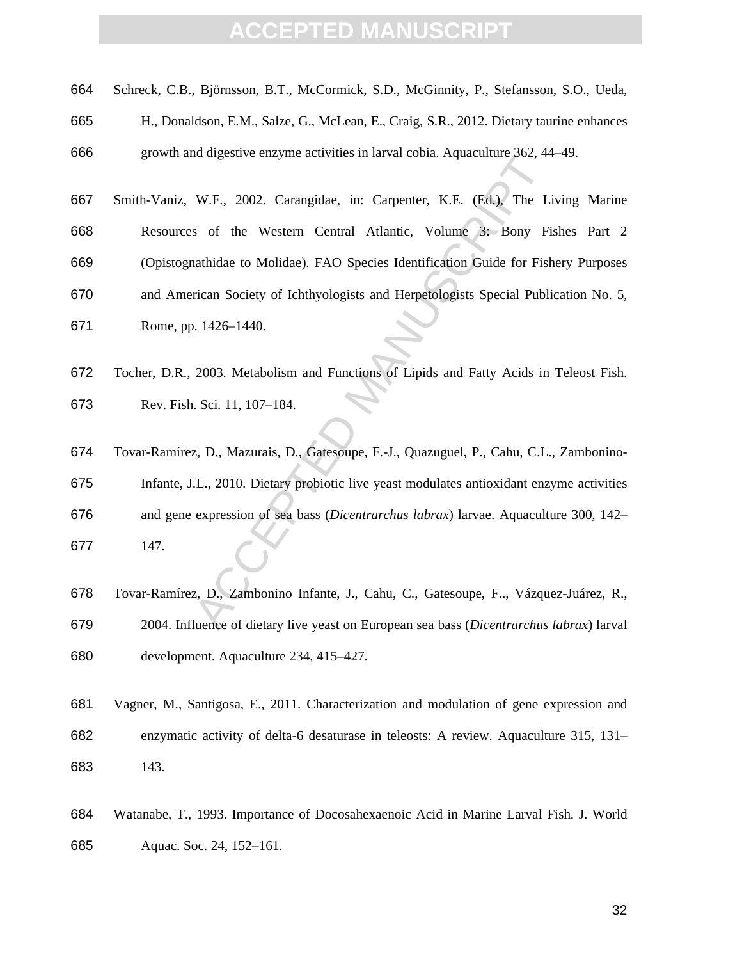| 664 Schreck, C.B., Björnsson, B.T., McCormick, S.D., McGinnity, P., Stefansson, S.O., Ueda, |  |
|---------------------------------------------------------------------------------------------|--|
|---------------------------------------------------------------------------------------------|--|

H., Donaldson, E.M., Salze, G., McLean, E., Craig, S.R., 2012. Dietary taurine enhances

growth and digestive enzyme activities in larval cobia. Aquaculture 362, 44–49.

- Smith-Vaniz, W.F., 2002. Carangidae, in: Carpenter, K.E. (Ed.), The Living Marine Resources of the Western Central Atlantic, Volume 3: Bony Fishes Part 2
- (Opistognathidae to Molidae). FAO Species Identification Guide for Fishery Purposes
- and American Society of Ichthyologists and Herpetologists Special Publication No. 5, Rome, pp. 1426–1440.
- Tocher, D.R., 2003. Metabolism and Functions of Lipids and Fatty Acids in Teleost Fish. Rev. Fish. Sci. 11, 107–184.
- In the Western Central Atlantic, Volume 3: Bony Fi-<br>Sof the Western Central Atlantic, Volume 3: Bony Fi-<br>athidae to Molidae). FAO Species Identification Guide for Fish<br>rian Society of Ichthyologists and Herpetologists Spec Tovar-Ramírez, D., Mazurais, D., Gatesoupe, F.-J., Quazuguel, P., Cahu, C.L., Zambonino-Infante, J.L., 2010. Dietary probiotic live yeast modulates antioxidant enzyme activities and gene expression of sea bass (*Dicentrarchus labrax*) larvae. Aquaculture 300, 142– 147.
- Tovar-Ramírez, D., Zambonino Infante, J., Cahu, C., Gatesoupe, F.., Vázquez-Juárez, R., 2004. Influence of dietary live yeast on European sea bass (*Dicentrarchus labrax*) larval development. Aquaculture 234, 415–427.
- Vagner, M., Santigosa, E., 2011. Characterization and modulation of gene expression and enzymatic activity of delta-6 desaturase in teleosts: A review. Aquaculture 315, 131– 143.
- Watanabe, T., 1993. Importance of Docosahexaenoic Acid in Marine Larval Fish. J. World Aquac. Soc. 24, 152–161.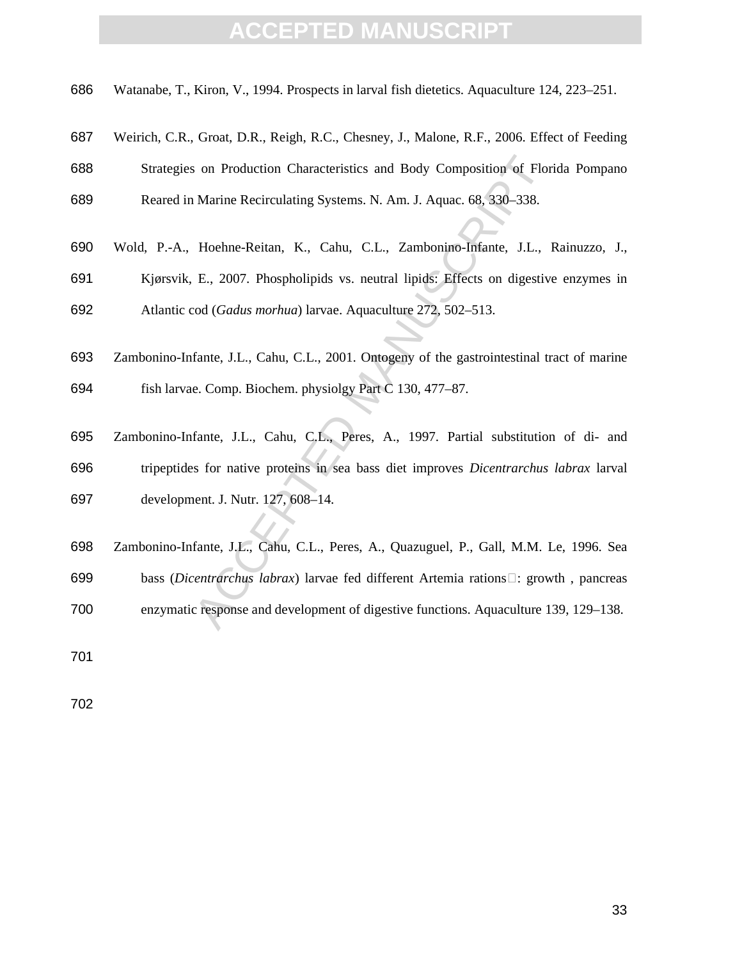Watanabe, T., Kiron, V., 1994. Prospects in larval fish dietetics. Aquaculture 124, 223–251.

- Weirich, C.R., Groat, D.R., Reigh, R.C., Chesney, J., Malone, R.F., 2006. Effect of Feeding
- Strategies on Production Characteristics and Body Composition of Florida Pompano Reared in Marine Recirculating Systems. N. Am. J. Aquac. 68, 330–338.
- Wold, P.-A., Hoehne-Reitan, K., Cahu, C.L., Zambonino-Infante, J.L., Rainuzzo, J., Kjørsvik, E., 2007. Phospholipids vs. neutral lipids: Effects on digestive enzymes in
- Atlantic cod (*Gadus morhua*) larvae. Aquaculture 272, 502–513.
- Zambonino-Infante, J.L., Cahu, C.L., 2001. Ontogeny of the gastrointestinal tract of marine fish larvae. Comp. Biochem. physiolgy Part C 130, 477–87.
- or Production Characteristics and Body Composition of Flom<br>Marine Recirculating Systems. N. Am. J. Aquac. 68, 330–338.<br>Hoehne-Reitan, K., Cahu, C.L., Zambonino-Infante, J.L., I<br>E., 2007. Phospholipids vs. neutral lipids: Zambonino-Infante, J.L., Cahu, C.L., Peres, A., 1997. Partial substitution of di- and tripeptides for native proteins in sea bass diet improves *Dicentrarchus labrax* larval development. J. Nutr. 127, 608–14.
- Zambonino-Infante, J.L., Cahu, C.L., Peres, A., Quazuguel, P., Gall, M.M. Le, 1996. Sea bass (*Dicentrarchus labrax*) larvae fed different Artemia rations : growth , pancreas enzymatic response and development of digestive functions. Aquaculture 139, 129–138.
-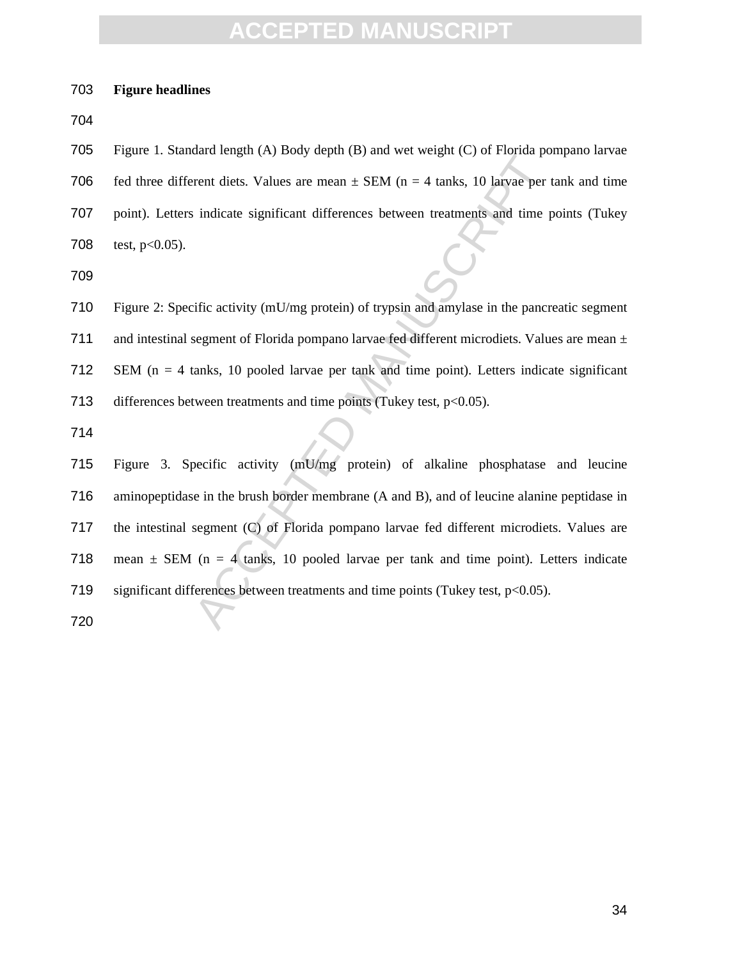#### **Figure headlines**

Figure 1. Standard length (A) Body depth (B) and wet weight (C) of Florida pompano larvae 706 fed three different diets. Values are mean  $\pm$  SEM (n = 4 tanks, 10 larvae per tank and time point). Letters indicate significant differences between treatments and time points (Tukey 708 test,  $p<0.05$ ).

Figure 2: Specific activity (mU/mg protein) of trypsin and amylase in the pancreatic segment 711 and intestinal segment of Florida pompano larvae fed different microdiets. Values are mean  $\pm$ SEM (n = 4 tanks, 10 pooled larvae per tank and time point). Letters indicate significant 713 differences between treatments and time points (Tukey test,  $p<0.05$ ).

Example to get to your details and the substracted point of the state in the set of the state point of the state point (n = 4 tanks, 10 larvae per t<br>indicate significant differences between treatments and time p<br>inficacti Figure 3. Specific activity (mU/mg protein) of alkaline phosphatase and leucine aminopeptidase in the brush border membrane (A and B), and of leucine alanine peptidase in the intestinal segment (C) of Florida pompano larvae fed different microdiets. Values are 718 mean  $\pm$  SEM (n = 4 tanks, 10 pooled larvae per tank and time point). Letters indicate 719 significant differences between treatments and time points (Tukey test, p<0.05).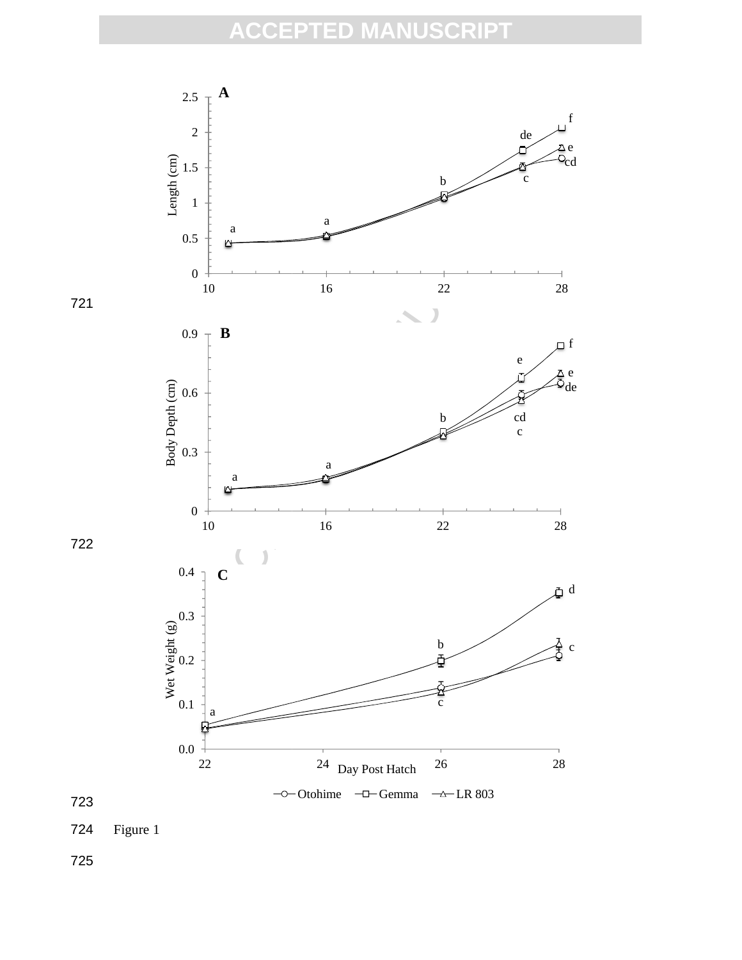





724 Figure 1

725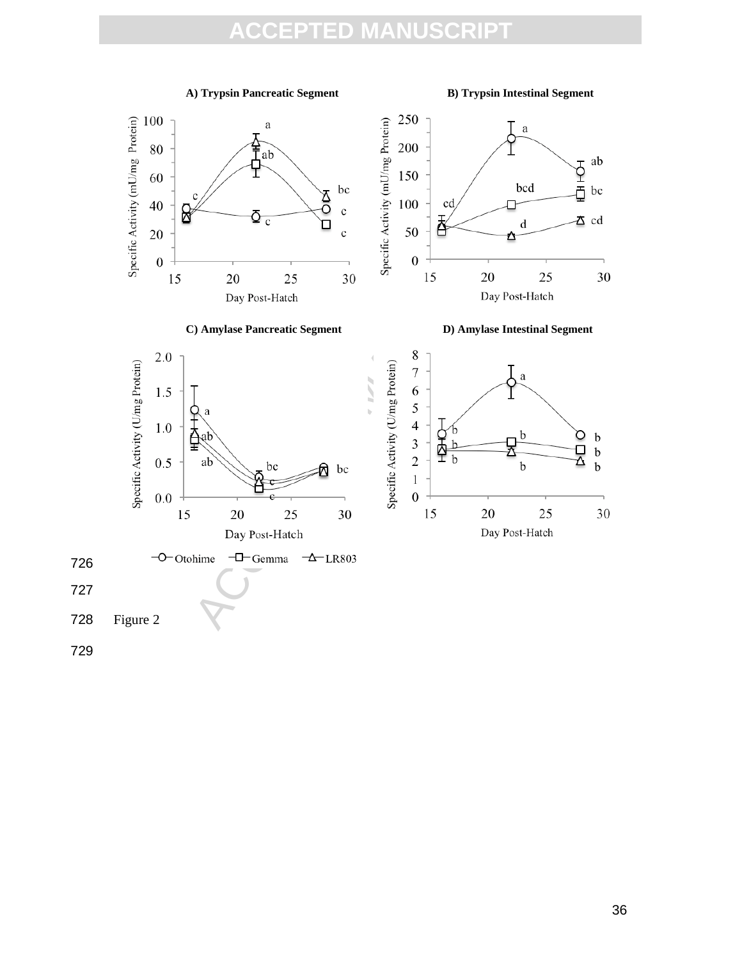#### **A) Trypsin Pancreatic Segment B) Trypsin Intestinal Segment**

726

727

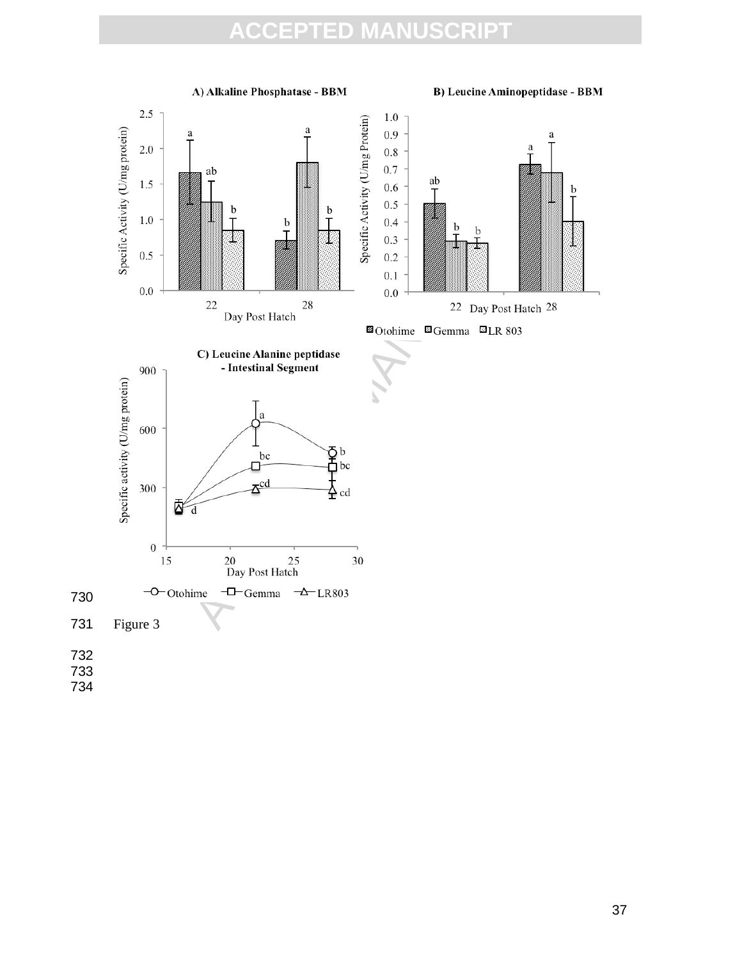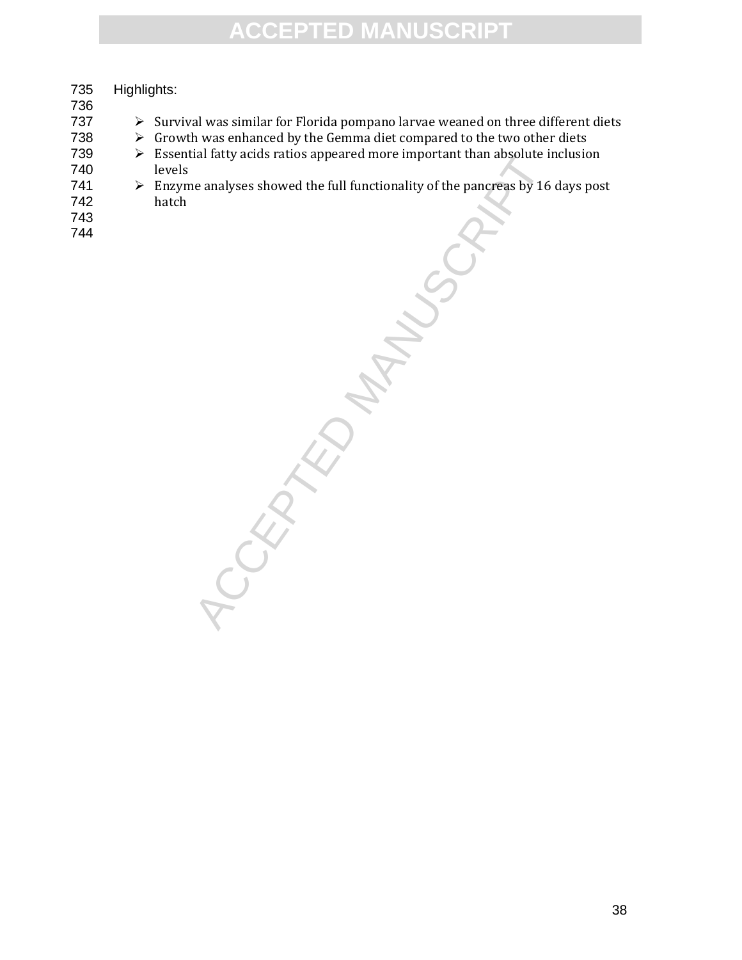# MANUSCRIPTION MANUSCRIPTION 735 Highlights: 736  $\triangleright$  Survival was similar for Florida pompano larvae weaned on three different diets 738  $\rightarrow$  Growth was enhanced by the Gemma diet compared to the two other diets<br>739  $\rightarrow$  Essential fatty acids ratios appeared more important than absolute inclusion  $\triangleright$  Essential fatty acids ratios appeared more important than absolute inclusion 740 levels 741  $\triangleright$  Enzyme analyses showed the full functionality of the pancreas by 16 days post hatch hatch 743 744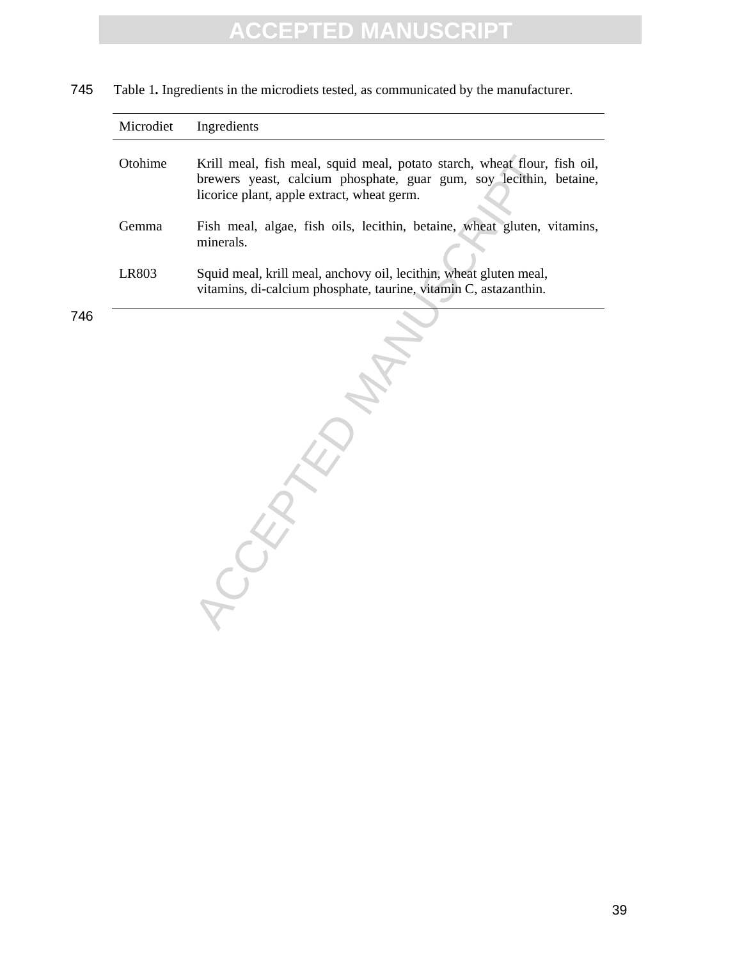745 Table 1**.** Ingredients in the microdiets tested, as communicated by the manufacturer.

| Microdiet | Ingredients                                                                                                                                                                                  |
|-----------|----------------------------------------------------------------------------------------------------------------------------------------------------------------------------------------------|
| Otohime   | Krill meal, fish meal, squid meal, potato starch, wheat flour, fish oil,<br>brewers yeast, calcium phosphate, guar gum, soy lecithin, betaine,<br>licorice plant, apple extract, wheat germ. |
| Gemma     | Fish meal, algae, fish oils, lecithin, betaine, wheat gluten, vitamins,<br>minerals.                                                                                                         |
| LR803     | Squid meal, krill meal, anchovy oil, lecithin, wheat gluten meal,<br>vitamins, di-calcium phosphate, taurine, vitamin C, astazanthin.                                                        |
|           |                                                                                                                                                                                              |

Krill meal, fish meal, squid meal, potato starch, wheat flour, brewers yeast, calcium phosphate, guar gum, soy lecithin, licorice plant, apple extract, wheat germ.<br>
Fish meal, algae, fish oils, lecithin, betaine, wheat glu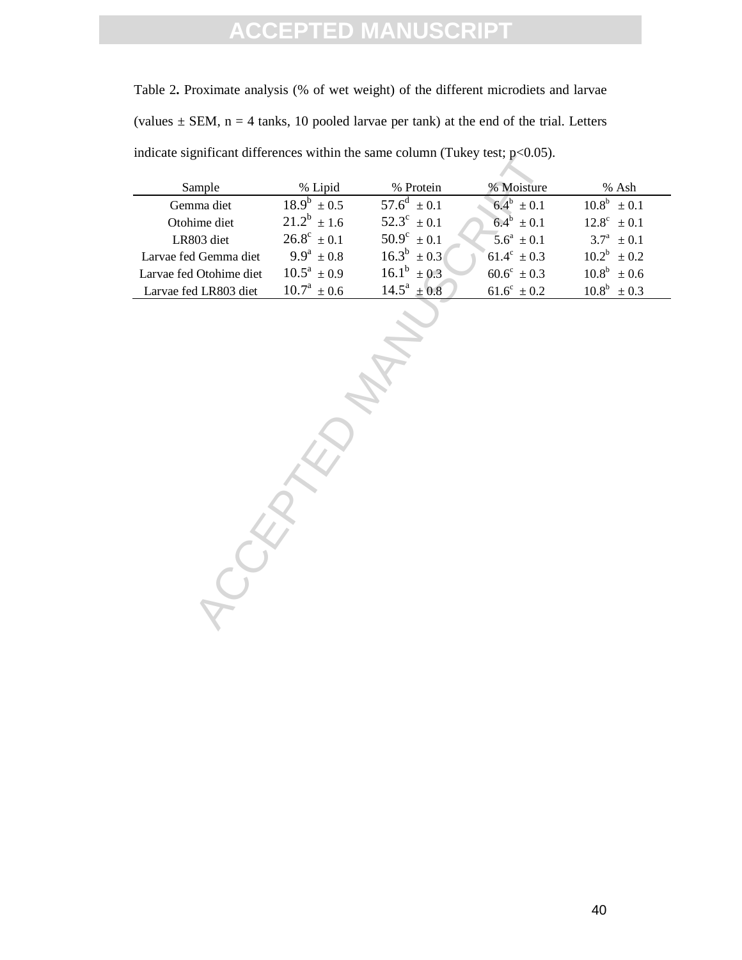Table 2**.** Proximate analysis (% of wet weight) of the different microdiets and larvae (values  $\pm$  SEM, n = 4 tanks, 10 pooled larvae per tank) at the end of the trial. Letters indicate significant differences within the same column (Tukey test;  $p<0.05$ ).

| Sample                  | % Lipid                | % Protein              | % Moisture             | % Ash                  |
|-------------------------|------------------------|------------------------|------------------------|------------------------|
| Gemma diet              | $18.9^b \pm 0.5$       | $57.6^d \pm 0.1$       | $6.4^b \pm 0.1$        | $10.8^b \pm 0.1$       |
| Otohime diet            | $21.2^b + 1.6$         | $52.3^{\circ} \pm 0.1$ | $6.4^{\circ}$ + 0.1    | $12.8^{\circ} \pm 0.1$ |
| LR803 diet              | $26.8^{\circ} \pm 0.1$ | $50.9^{\circ} \pm 0.1$ | $5.6^a \pm 0.1$        | $3.7^a \pm 0.1$        |
| Larvae fed Gemma diet   | $9.9^a \pm 0.8$        | $16.3^b \pm 0.3$       | $61.4^{\circ} \pm 0.3$ | $10.2^b \pm 0.2$       |
| Larvae fed Otohime diet | $10.5^a \pm 0.9$       | $16.1^b + 0.3$         | $60.6^{\circ} \pm 0.3$ | $10.8^b \pm 0.6$       |
| Larvae fed LR803 diet   | $10.7^a \pm 0.6$       | $14.5^a \pm 0.8$       | $61.6^{\circ} + 0.2$   | $10.8^b \pm 0.3$       |

of the same column (Takey est, p<0.0.9).<br>
Some dist<br>  $18.9^b \pm 0.5$  57.6<sup>d</sup>  $\pm 0.1$  6.4<sup>b</sup>  $\pm 0.1$ <br>
in diet<br>  $21.2^b \pm 1.6$  5.2s<sup>2</sup>  $\pm 0.1$  6.4<sup>b</sup>  $\pm 0.1$ <br>
4.03 diet<br>  $26.8^c \pm 0.1$  5.09<sup>c</sup>  $\pm 0.1$  5.6<sup>d</sup>  $\pm 0.1$ <br>
4